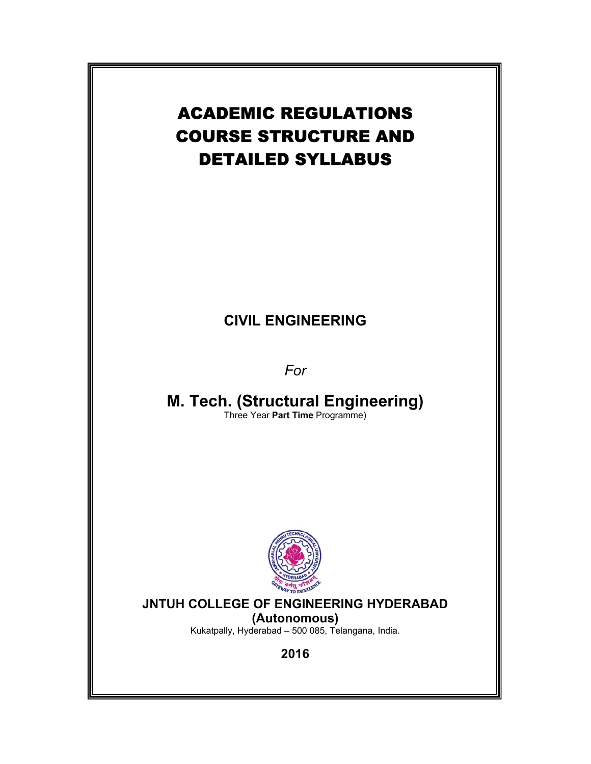# ACADEMIC REGULATIONS COURSE STRUCTURE AND DETAILED SYLLABUS

# **CIVIL ENGINEERING**

*For* 

**M. Tech. (Structural Engineering)**  Three Year **Part Time** Programme)



# **JNTUH COLLEGE OF ENGINEERING HYDERABAD**

**(Autonomous)** Kukatpally, Hyderabad – 500 085, Telangana, India.

**2016**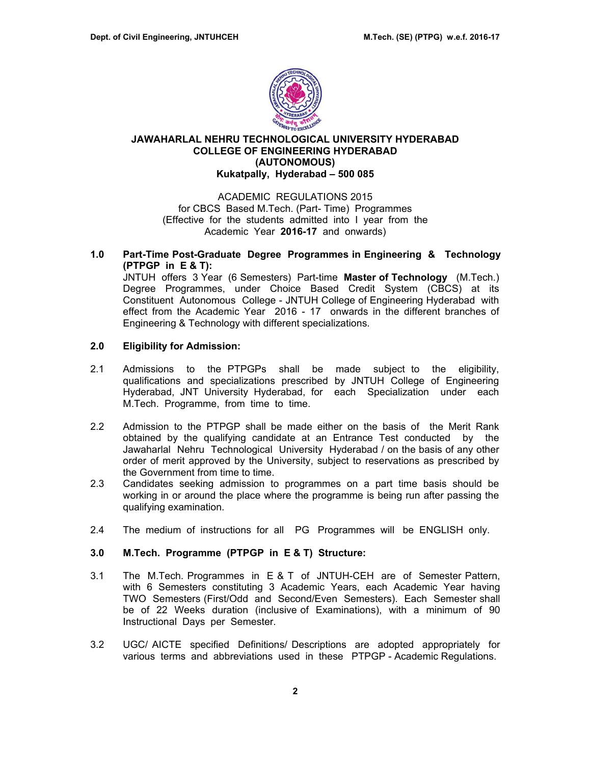

# **JAWAHARLAL NEHRU TECHNOLOGICAL UNIVERSITY HYDERABAD COLLEGE OF ENGINEERING HYDERABAD (AUTONOMOUS) Kukatpally, Hyderabad – 500 085**

ACADEMIC REGULATIONS 2015 for CBCS Based M.Tech. (Part- Time) Programmes (Effective for the students admitted into I year from the Academic Year **2016-17** and onwards)

**1.0 Part-Time Post-Graduate Degree Programmes in Engineering & Technology (PTPGP in E & T):** 

JNTUH offers 3 Year (6 Semesters) Part-time **Master of Technology** (M.Tech.) Degree Programmes, under Choice Based Credit System (CBCS) at its Constituent Autonomous College - JNTUH College of Engineering Hyderabad with effect from the Academic Year 2016 - 17 onwards in the different branches of Engineering & Technology with different specializations.

# **2.0 Eligibility for Admission:**

- 2.1 Admissions to the PTPGPs shall be made subject to the eligibility, qualifications and specializations prescribed by JNTUH College of Engineering Hyderabad, JNT University Hyderabad, for each Specialization under each M.Tech. Programme, from time to time.
- 2.2 Admission to the PTPGP shall be made either on the basis of the Merit Rank obtained by the qualifying candidate at an Entrance Test conducted by the Jawaharlal Nehru Technological University Hyderabad / on the basis of any other order of merit approved by the University, subject to reservations as prescribed by the Government from time to time.
- 2.3 Candidates seeking admission to programmes on a part time basis should be working in or around the place where the programme is being run after passing the qualifying examination.
- 2.4 The medium of instructions for all PG Programmes will be ENGLISH only.

# **3.0 M.Tech. Programme (PTPGP in E & T) Structure:**

- 3.1 The M.Tech. Programmes in E & T of JNTUH-CEH are of Semester Pattern, with 6 Semesters constituting 3 Academic Years, each Academic Year having TWO Semesters (First/Odd and Second/Even Semesters). Each Semester shall be of 22 Weeks duration (inclusive of Examinations), with a minimum of 90 Instructional Days per Semester.
- 3.2 UGC/ AICTE specified Definitions/ Descriptions are adopted appropriately for various terms and abbreviations used in these PTPGP - Academic Regulations.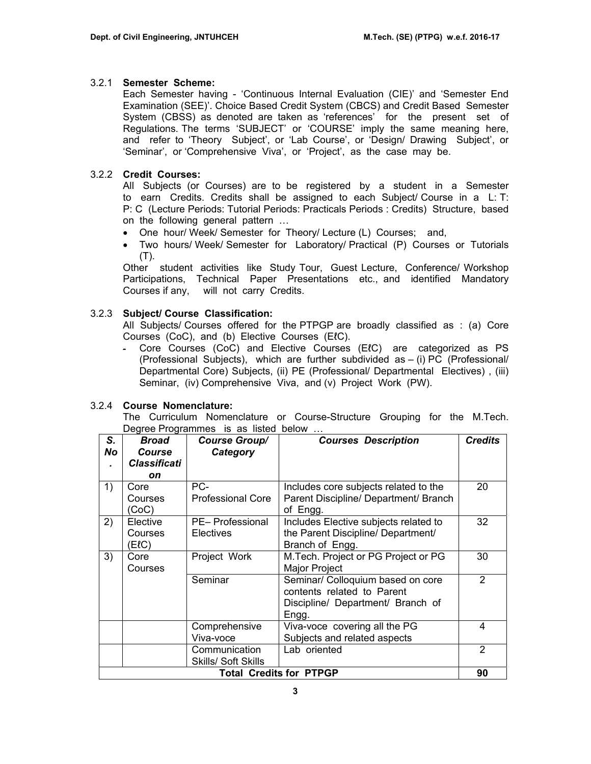# 3.2.1 **Semester Scheme:**

Each Semester having - 'Continuous Internal Evaluation (CIE)' and 'Semester End Examination (SEE)'. Choice Based Credit System (CBCS) and Credit Based Semester System (CBSS) as denoted are taken as 'references' for the present set of Regulations. The terms 'SUBJECT' or 'COURSE' imply the same meaning here, and refer to 'Theory Subject', or 'Lab Course', or 'Design/ Drawing Subject', or 'Seminar', or 'Comprehensive Viva', or 'Project', as the case may be.

# 3.2.2 **Credit Courses:**

All Subjects (or Courses) are to be registered by a student in a Semester to earn Credits. Credits shall be assigned to each Subject/ Course in a L: T: P: C (Lecture Periods: Tutorial Periods: Practicals Periods : Credits) Structure, based on the following general pattern …

- One hour/ Week/ Semester for Theory/ Lecture (L) Courses; and,
- Two hours/ Week/ Semester for Laboratory/ Practical (P) Courses or Tutorials (T).

Other student activities like Study Tour, Guest Lecture, Conference/ Workshop Participations, Technical Paper Presentations etc., and identified Mandatory Courses if any, will not carry Credits.

# 3.2.3 **Subject/ Course Classification:**

All Subjects/ Courses offered for the PTPGP are broadly classified as : (a) Core Courses (CoC), and (b) Elective Courses (EℓC).

‐ Core Courses (CoC) and Elective Courses (EℓC) are categorized as PS (Professional Subjects), which are further subdivided as – (i) PC (Professional/ Departmental Core) Subjects, (ii) PE (Professional/ Departmental Electives) , (iii) Seminar, (iv) Comprehensive Viva, and (v) Project Work (PW).

# 3.2.4 **Course Nomenclature:**

The Curriculum Nomenclature or Course-Structure Grouping for the M.Tech. Degree Programmes is as listed below ...

| S.<br>No                             | <b>Broad</b><br><b>Course</b> | <b>Course Group/</b><br>Category | <b>Courses Description</b>            | <b>Credits</b> |  |  |  |
|--------------------------------------|-------------------------------|----------------------------------|---------------------------------------|----------------|--|--|--|
|                                      | <b>Classificati</b>           |                                  |                                       |                |  |  |  |
|                                      | on                            |                                  |                                       |                |  |  |  |
| 1)                                   | Core                          | PC-                              | Includes core subjects related to the | 20             |  |  |  |
|                                      | Courses                       | <b>Professional Core</b>         | Parent Discipline/ Department/ Branch |                |  |  |  |
|                                      | (CoC)                         |                                  | of Engg.                              |                |  |  |  |
| 2)                                   | Elective                      | PE- Professional                 | Includes Elective subjects related to | 32             |  |  |  |
|                                      | Courses                       | Electives                        | the Parent Discipline/ Department/    |                |  |  |  |
|                                      | (ElC)                         |                                  | Branch of Engg.                       |                |  |  |  |
| 3)                                   | Core                          | Project Work                     | M.Tech. Project or PG Project or PG   | 30             |  |  |  |
|                                      | Courses                       |                                  | <b>Major Project</b>                  |                |  |  |  |
|                                      |                               | Seminar                          | Seminar/ Colloquium based on core     | $\overline{2}$ |  |  |  |
|                                      |                               |                                  | contents related to Parent            |                |  |  |  |
|                                      |                               |                                  | Discipline/ Department/ Branch of     |                |  |  |  |
|                                      |                               |                                  | Engg.                                 |                |  |  |  |
|                                      |                               | Comprehensive                    | Viva-voce covering all the PG         | 4              |  |  |  |
|                                      |                               | Viva-voce                        | Subjects and related aspects          |                |  |  |  |
|                                      |                               | Communication                    | Lab oriented                          | $\overline{2}$ |  |  |  |
| <b>Skills/ Soft Skills</b>           |                               |                                  |                                       |                |  |  |  |
| <b>Total Credits for PTPGP</b><br>90 |                               |                                  |                                       |                |  |  |  |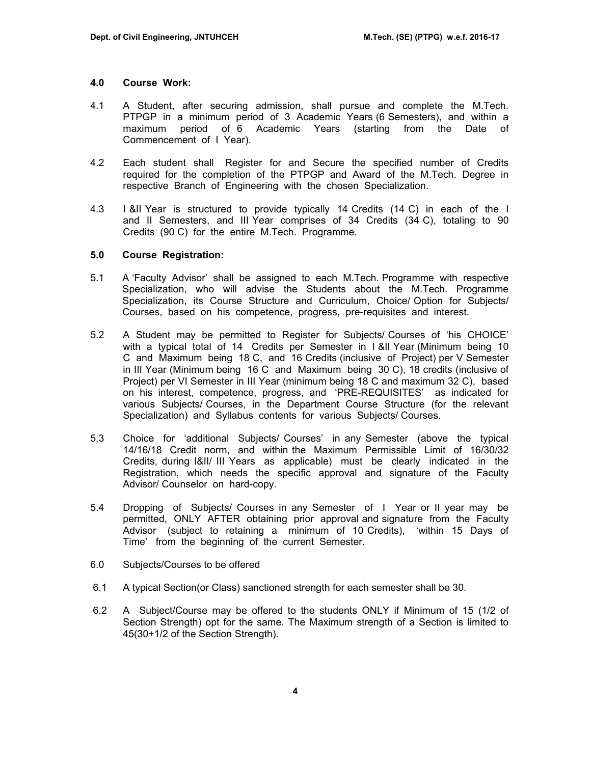#### **4.0 Course Work:**

- 4.1 A Student, after securing admission, shall pursue and complete the M.Tech. PTPGP in a minimum period of 3 Academic Years (6 Semesters), and within a maximum period of 6 Academic Years (starting from the Date of Commencement of I Year).
- 4.2 Each student shall Register for and Secure the specified number of Credits required for the completion of the PTPGP and Award of the M.Tech. Degree in respective Branch of Engineering with the chosen Specialization.
- 4.3 I &II Year is structured to provide typically 14 Credits (14 C) in each of the I and II Semesters, and III Year comprises of 34 Credits (34 C), totaling to 90 Credits (90 C) for the entire M.Tech. Programme.

#### **5.0 Course Registration:**

- 5.1 A 'Faculty Advisor' shall be assigned to each M.Tech. Programme with respective Specialization, who will advise the Students about the M.Tech. Programme Specialization, its Course Structure and Curriculum, Choice/ Option for Subjects/ Courses, based on his competence, progress, pre-requisites and interest.
- 5.2 A Student may be permitted to Register for Subjects/ Courses of 'his CHOICE' with a typical total of 14 Credits per Semester in I &II Year (Minimum being 10 C and Maximum being 18 C, and 16 Credits (inclusive of Project) per V Semester in III Year (Minimum being 16 C and Maximum being 30 C), 18 credits (inclusive of Project) per VI Semester in III Year (minimum being 18 C and maximum 32 C), based on his interest, competence, progress, and 'PRE-REQUISITES' as indicated for various Subjects/ Courses, in the Department Course Structure (for the relevant Specialization) and Syllabus contents for various Subjects/ Courses.
- 5.3 Choice for 'additional Subjects/ Courses' in any Semester (above the typical 14/16/18 Credit norm, and within the Maximum Permissible Limit of 16/30/32 Credits, during I&II/ III Years as applicable) must be clearly indicated in the Registration, which needs the specific approval and signature of the Faculty Advisor/ Counselor on hard-copy.
- 5.4 Dropping of Subjects/ Courses in any Semester of I Year or II year may be permitted, ONLY AFTER obtaining prior approval and signature from the Faculty Advisor (subject to retaining a minimum of 10 Credits), 'within 15 Days of Time' from the beginning of the current Semester.
- 6.0 Subjects/Courses to be offered
- 6.1 A typical Section(or Class) sanctioned strength for each semester shall be 30.
- 6.2 A Subject/Course may be offered to the students ONLY if Minimum of 15 (1/2 of Section Strength) opt for the same. The Maximum strength of a Section is limited to 45(30+1/2 of the Section Strength).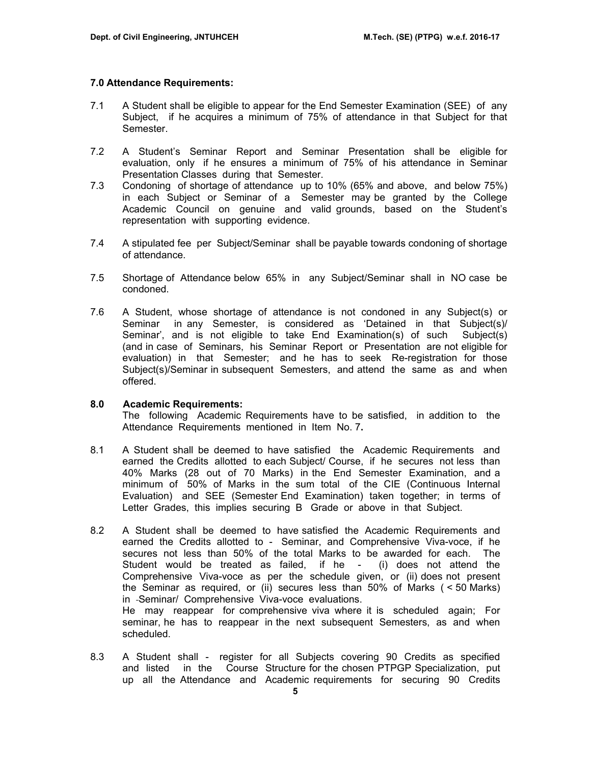#### **7.0 Attendance Requirements:**

- 7.1 A Student shall be eligible to appear for the End Semester Examination (SEE) of any Subject, if he acquires a minimum of 75% of attendance in that Subject for that Semester.
- 7.2 A Student's Seminar Report and Seminar Presentation shall be eligible for evaluation, only if he ensures a minimum of 75% of his attendance in Seminar Presentation Classes during that Semester.
- 7.3 Condoning of shortage of attendance up to 10% (65% and above, and below 75%) in each Subject or Seminar of a Semester may be granted by the College Academic Council on genuine and valid grounds, based on the Student's representation with supporting evidence.
- 7.4 A stipulated fee per Subject/Seminar shall be payable towards condoning of shortage of attendance.
- 7.5 Shortage of Attendance below 65% in any Subject/Seminar shall in NO case be condoned.
- 7.6 A Student, whose shortage of attendance is not condoned in any Subject(s) or Seminar in any Semester, is considered as 'Detained in that Subject(s)/ Seminar', and is not eligible to take End Examination(s) of such Subject(s) (and in case of Seminars, his Seminar Report or Presentation are not eligible for evaluation) in that Semester; and he has to seek Re-registration for those Subject(s)/Seminar in subsequent Semesters, and attend the same as and when offered.

## **8.0 Academic Requirements:**

The following Academic Requirements have to be satisfied, in addition to the Attendance Requirements mentioned in Item No. 7**.** 

- 8.1 A Student shall be deemed to have satisfied the Academic Requirements and earned the Credits allotted to each Subject/ Course, if he secures not less than 40% Marks (28 out of 70 Marks) in the End Semester Examination, and a minimum of 50% of Marks in the sum total of the CIE (Continuous Internal Evaluation) and SEE (Semester End Examination) taken together; in terms of Letter Grades, this implies securing B Grade or above in that Subject.
- 8.2A Student shall be deemed to have satisfied the Academic Requirements and earned the Credits allotted to - Seminar, and Comprehensive Viva-voce, if he secures not less than 50% of the total Marks to be awarded for each. The Student would be treated as failed, if he - (i) does not attend the Comprehensive Viva-voce as per the schedule given, or (ii) does not present the Seminar as required, or (ii) secures less than 50% of Marks ( < 50 Marks) in -Seminar/ Comprehensive Viva-voce evaluations. He may reappear for comprehensive viva where it is scheduled again; For seminar, he has to reappear in the next subsequent Semesters, as and when scheduled.
- 8.3 A Student shall register for all Subjects covering 90 Credits as specified and listed in the Course Structure for the chosen PTPGP Specialization, put up all the Attendance and Academic requirements for securing 90 Credits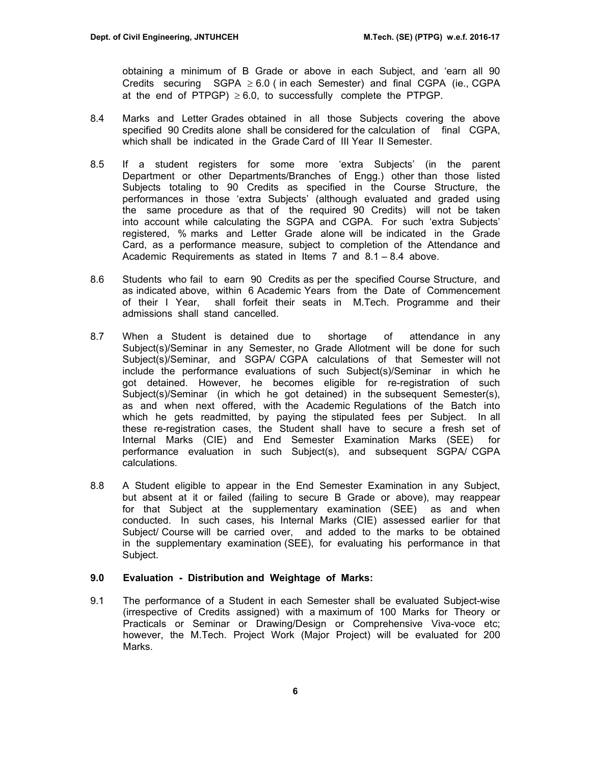obtaining a minimum of B Grade or above in each Subject, and 'earn all 90 Credits securing  $SGPA \geq 6.0$  (in each Semester) and final CGPA (ie., CGPA at the end of PTPGP)  $\geq 6.0$ , to successfully complete the PTPGP.

- 8.4 Marks and Letter Grades obtained in all those Subjects covering the above specified 90 Credits alone shall be considered for the calculation of final CGPA, which shall be indicated in the Grade Card of III Year II Semester.
- 8.5 If a student registers for some more 'extra Subjects' (in the parent Department or other Departments/Branches of Engg.) other than those listed Subjects totaling to 90 Credits as specified in the Course Structure, the performances in those 'extra Subjects' (although evaluated and graded using the same procedure as that of the required 90 Credits) will not be taken into account while calculating the SGPA and CGPA. For such 'extra Subjects' registered, % marks and Letter Grade alone will be indicated in the Grade Card, as a performance measure, subject to completion of the Attendance and Academic Requirements as stated in Items 7 and 8.1 – 8.4 above.
- 8.6 Students who fail to earn 90 Credits as per the specified Course Structure, and as indicated above, within 6 Academic Years from the Date of Commencement of their I Year, shall forfeit their seats in M.Tech. Programme and their admissions shall stand cancelled.
- 8.7 When a Student is detained due to shortage of attendance in any Subject(s)/Seminar in any Semester, no Grade Allotment will be done for such Subject(s)/Seminar, and SGPA/ CGPA calculations of that Semester will not include the performance evaluations of such Subject(s)/Seminar in which he got detained. However, he becomes eligible for re-registration of such Subject(s)/Seminar (in which he got detained) in the subsequent Semester(s), as and when next offered, with the Academic Regulations of the Batch into which he gets readmitted, by paying the stipulated fees per Subject. In all these re-registration cases, the Student shall have to secure a fresh set of Internal Marks (CIE) and End Semester Examination Marks (SEE) for performance evaluation in such Subject(s), and subsequent SGPA/ CGPA calculations.
- 8.8 A Student eligible to appear in the End Semester Examination in any Subject, but absent at it or failed (failing to secure B Grade or above), may reappear for that Subject at the supplementary examination (SEE) as and when conducted. In such cases, his Internal Marks (CIE) assessed earlier for that Subject/ Course will be carried over, and added to the marks to be obtained in the supplementary examination (SEE), for evaluating his performance in that Subject.

# **9.0 Evaluation - Distribution and Weightage of Marks:**

9.1 The performance of a Student in each Semester shall be evaluated Subject-wise (irrespective of Credits assigned) with a maximum of 100 Marks for Theory or Practicals or Seminar or Drawing/Design or Comprehensive Viva-voce etc; however, the M.Tech. Project Work (Major Project) will be evaluated for 200 Marks.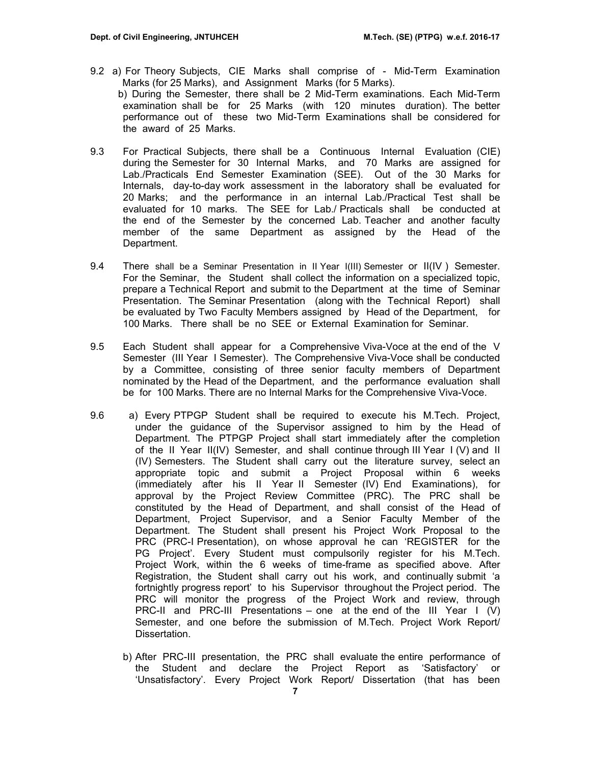- 9.2 a) For Theory Subjects, CIE Marks shall comprise of Mid-Term Examination Marks (for 25 Marks), and Assignment Marks (for 5 Marks). b) During the Semester, there shall be 2 Mid-Term examinations. Each Mid-Term examination shall be for 25 Marks (with 120 minutes duration). The better performance out of these two Mid-Term Examinations shall be considered for the award of 25 Marks.
- 9.3 For Practical Subjects, there shall be a Continuous Internal Evaluation (CIE) during the Semester for 30 Internal Marks, and 70 Marks are assigned for Lab./Practicals End Semester Examination (SEE). Out of the 30 Marks for Internals, day-to-day work assessment in the laboratory shall be evaluated for 20 Marks; and the performance in an internal Lab./Practical Test shall be evaluated for 10 marks. The SEE for Lab./ Practicals shall be conducted at the end of the Semester by the concerned Lab. Teacher and another faculty member of the same Department as assigned by the Head of the Department.
- 9.4 There shall be a Seminar Presentation in II Year I(III) Semester or II(IV ) Semester. For the Seminar, the Student shall collect the information on a specialized topic, prepare a Technical Report and submit to the Department at the time of Seminar Presentation. The Seminar Presentation (along with the Technical Report) shall be evaluated by Two Faculty Members assigned by Head of the Department, for 100 Marks. There shall be no SEE or External Examination for Seminar.
- 9.5 Each Student shall appear for a Comprehensive Viva-Voce at the end of the V Semester (III Year I Semester). The Comprehensive Viva-Voce shall be conducted by a Committee, consisting of three senior faculty members of Department nominated by the Head of the Department, and the performance evaluation shall be for 100 Marks. There are no Internal Marks for the Comprehensive Viva-Voce.
- 9.6 a) Every PTPGP Student shall be required to execute his M.Tech. Project, under the guidance of the Supervisor assigned to him by the Head of Department. The PTPGP Project shall start immediately after the completion of the II Year II(IV) Semester, and shall continue through III Year I (V) and II (IV) Semesters. The Student shall carry out the literature survey, select an appropriate topic and submit a Project Proposal within 6 weeks (immediately after his II Year II Semester (IV) End Examinations), for approval by the Project Review Committee (PRC). The PRC shall be constituted by the Head of Department, and shall consist of the Head of Department, Project Supervisor, and a Senior Faculty Member of the Department. The Student shall present his Project Work Proposal to the PRC (PRC-I Presentation), on whose approval he can 'REGISTER for the PG Project'. Every Student must compulsorily register for his M.Tech. Project Work, within the 6 weeks of time-frame as specified above. After Registration, the Student shall carry out his work, and continually submit 'a fortnightly progress report' to his Supervisor throughout the Project period. The PRC will monitor the progress of the Project Work and review, through PRC-II and PRC-III Presentations – one at the end of the III Year I (V) Semester, and one before the submission of M.Tech. Project Work Report/ Dissertation.
	- b) After PRC-III presentation, the PRC shall evaluate the entire performance of the Student and declare the Project Report as 'Satisfactory' or 'Unsatisfactory'. Every Project Work Report/ Dissertation (that has been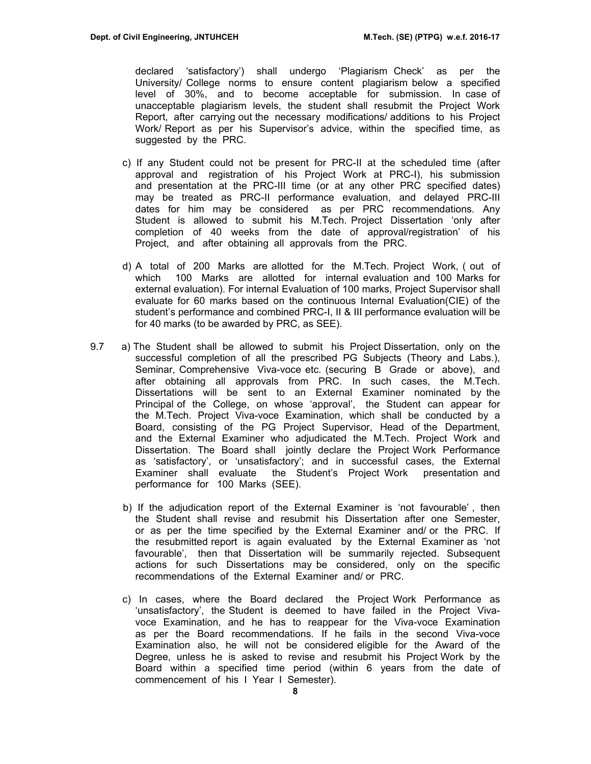declared 'satisfactory') shall undergo 'Plagiarism Check' as per the University/ College norms to ensure content plagiarism below a specified level of 30%, and to become acceptable for submission. In case of unacceptable plagiarism levels, the student shall resubmit the Project Work Report, after carrying out the necessary modifications/ additions to his Project Work/ Report as per his Supervisor's advice, within the specified time, as suggested by the PRC.

- c) If any Student could not be present for PRC-II at the scheduled time (after approval and registration of his Project Work at PRC-I), his submission and presentation at the PRC-III time (or at any other PRC specified dates) may be treated as PRC-II performance evaluation, and delayed PRC-III dates for him may be considered as per PRC recommendations. Any Student is allowed to submit his M.Tech. Project Dissertation 'only after completion of 40 weeks from the date of approval/registration' of his Project, and after obtaining all approvals from the PRC.
- d) A total of 200 Marks are allotted for the M.Tech. Project Work, ( out of which 100 Marks are allotted for internal evaluation and 100 Marks for external evaluation). For internal Evaluation of 100 marks, Project Supervisor shall evaluate for 60 marks based on the continuous Internal Evaluation(CIE) of the student's performance and combined PRC-I, II & III performance evaluation will be for 40 marks (to be awarded by PRC, as SEE).
- 9.7 a) The Student shall be allowed to submit his Project Dissertation, only on the successful completion of all the prescribed PG Subjects (Theory and Labs.), Seminar, Comprehensive Viva-voce etc. (securing B Grade or above), and after obtaining all approvals from PRC. In such cases, the M.Tech. Dissertations will be sent to an External Examiner nominated by the Principal of the College, on whose 'approval', the Student can appear for the M.Tech. Project Viva-voce Examination, which shall be conducted by a Board, consisting of the PG Project Supervisor, Head of the Department, and the External Examiner who adjudicated the M.Tech. Project Work and Dissertation. The Board shall jointly declare the Project Work Performance as 'satisfactory', or 'unsatisfactory'; and in successful cases, the External Examiner shall evaluate the Student's Project Work presentation and performance for 100 Marks (SEE).
	- b) If the adjudication report of the External Examiner is 'not favourable' , then the Student shall revise and resubmit his Dissertation after one Semester, or as per the time specified by the External Examiner and/ or the PRC. If the resubmitted report is again evaluated by the External Examiner as 'not favourable', then that Dissertation will be summarily rejected. Subsequent actions for such Dissertations may be considered, only on the specific recommendations of the External Examiner and/ or PRC.
	- c) In cases, where the Board declared the Project Work Performance as 'unsatisfactory', the Student is deemed to have failed in the Project Vivavoce Examination, and he has to reappear for the Viva-voce Examination as per the Board recommendations. If he fails in the second Viva-voce Examination also, he will not be considered eligible for the Award of the Degree, unless he is asked to revise and resubmit his Project Work by the Board within a specified time period (within 6 years from the date of commencement of his I Year I Semester).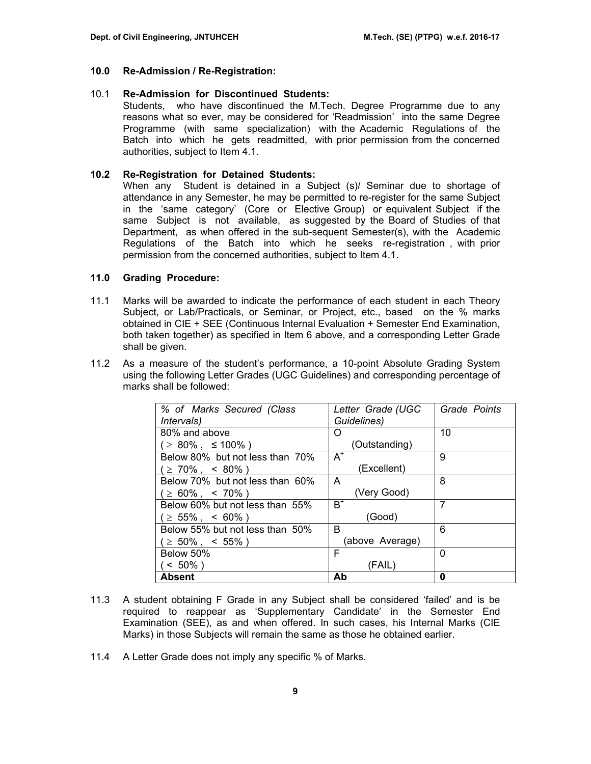#### **10.0 Re-Admission / Re-Registration:**

#### 10.1 **Re-Admission for Discontinued Students:**

Students, who have discontinued the M.Tech. Degree Programme due to any reasons what so ever, may be considered for 'Readmission' into the same Degree Programme (with same specialization) with the Academic Regulations of the Batch into which he gets readmitted, with prior permission from the concerned authorities, subject to Item 4.1.

#### **10.2 Re-Registration for Detained Students:**

When any Student is detained in a Subject (s)/ Seminar due to shortage of attendance in any Semester, he may be permitted to re-register for the same Subject in the 'same category' (Core or Elective Group) or equivalent Subject if the same Subject is not available, as suggested by the Board of Studies of that Department, as when offered in the sub-sequent Semester(s), with the Academic Regulations of the Batch into which he seeks re-registration , with prior permission from the concerned authorities, subject to Item 4.1.

#### **11.0 Grading Procedure:**

- 11.1 Marks will be awarded to indicate the performance of each student in each Theory Subject, or Lab/Practicals, or Seminar, or Project, etc., based on the % marks obtained in CIE + SEE (Continuous Internal Evaluation + Semester End Examination, both taken together) as specified in Item 6 above, and a corresponding Letter Grade shall be given.
- 11.2 As a measure of the student's performance, a 10-point Absolute Grading System using the following Letter Grades (UGC Guidelines) and corresponding percentage of marks shall be followed:

| % of Marks Secured (Class       | Letter Grade (UGC | Grade Points |
|---------------------------------|-------------------|--------------|
| <i>Intervals</i> )              | Guidelines)       |              |
| 80% and above                   | O                 | 10           |
| ( ≥ 80% , ≤ 100% )              | (Outstanding)     |              |
| Below 80% but not less than 70% | $A^+$             | 9            |
| $\geq 70\%$ , < 80% )           | (Excellent)       |              |
| Below 70% but not less than 60% | A                 | 8            |
| $\geq 60\%$ , < 70%)            | (Very Good)       |              |
| Below 60% but not less than 55% | $B^+$             | 7            |
| $( \geq 55\%$ , < 60% )         | (Good)            |              |
| Below 55% but not less than 50% | В                 | 6            |
| $\geq 50\%$ , < 55%)            | (above Average)   |              |
| Below 50%                       | F                 | 0            |
| $< 50\%$ )                      | (FAIL)            |              |
| <b>Absent</b>                   | Ab                | 0            |

- 11.3 A student obtaining F Grade in any Subject shall be considered 'failed' and is be required to reappear as 'Supplementary Candidate' in the Semester End Examination (SEE), as and when offered. In such cases, his Internal Marks (CIE Marks) in those Subjects will remain the same as those he obtained earlier.
- 11.4 A Letter Grade does not imply any specific % of Marks.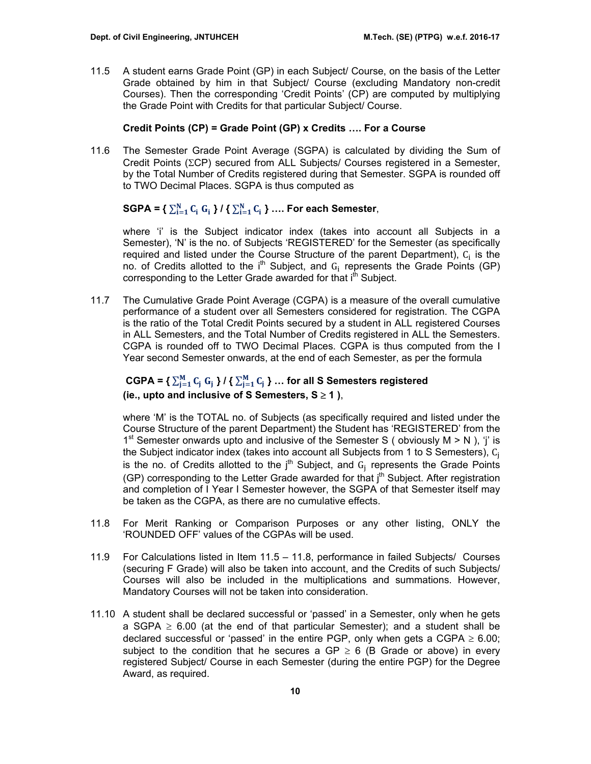11.5 A student earns Grade Point (GP) in each Subject/ Course, on the basis of the Letter Grade obtained by him in that Subject/ Course (excluding Mandatory non-credit Courses). Then the corresponding 'Credit Points' (CP) are computed by multiplying the Grade Point with Credits for that particular Subject/ Course.

# **Credit Points (CP) = Grade Point (GP) x Credits …. For a Course**

11.6 The Semester Grade Point Average (SGPA) is calculated by dividing the Sum of Credit Points (ΣCP) secured from ALL Subjects/ Courses registered in a Semester, by the Total Number of Credits registered during that Semester. SGPA is rounded off to TWO Decimal Places. SGPA is thus computed as

# SGPA = { $\sum_{i=1}^{N} C_i$   $G_i$  } / { $\sum_{i=1}^{N} C_i$  } .... For each Semester,

where 'i' is the Subject indicator index (takes into account all Subjects in a Semester), 'N' is the no. of Subjects 'REGISTERED' for the Semester (as specifically required and listed under the Course Structure of the parent Department),  $C_i$  is the no. of Credits allotted to the  $i<sup>th</sup>$  Subject, and  $G_i$  represents the Grade Points (GP) corresponding to the Letter Grade awarded for that i<sup>th</sup> Subject.

11.7 The Cumulative Grade Point Average (CGPA) is a measure of the overall cumulative performance of a student over all Semesters considered for registration. The CGPA is the ratio of the Total Credit Points secured by a student in ALL registered Courses in ALL Semesters, and the Total Number of Credits registered in ALL the Semesters. CGPA is rounded off to TWO Decimal Places. CGPA is thus computed from the I Year second Semester onwards, at the end of each Semester, as per the formula

# CGPA =  $\sum_{j=1}^{M} C_j G_j$  } /  $\sum_{j=1}^{M} C_j$  } ... for all S Semesters registered **(ie., upto and inclusive of S Semesters, S** ≥ **1 )**,

where 'M' is the TOTAL no. of Subjects (as specifically required and listed under the Course Structure of the parent Department) the Student has 'REGISTERED' from the 1<sup>st</sup> Semester onwards upto and inclusive of the Semester S ( obviously  $M > N$  ), 'i' is the Subject indicator index (takes into account all Subjects from 1 to S Semesters), C<sub>1</sub> is the no. of Credits allotted to the  $j<sup>th</sup>$  Subject, and  $G_i$  represents the Grade Points (GP) corresponding to the Letter Grade awarded for that j<sup>th</sup> Subject. After registration and completion of I Year I Semester however, the SGPA of that Semester itself may be taken as the CGPA, as there are no cumulative effects.

- 11.8 For Merit Ranking or Comparison Purposes or any other listing, ONLY the 'ROUNDED OFF' values of the CGPAs will be used.
- 11.9 For Calculations listed in Item 11.5 11.8, performance in failed Subjects/ Courses (securing F Grade) will also be taken into account, and the Credits of such Subjects/ Courses will also be included in the multiplications and summations. However, Mandatory Courses will not be taken into consideration.
- 11.10 A student shall be declared successful or 'passed' in a Semester, only when he gets a SGPA  $\geq$  6.00 (at the end of that particular Semester); and a student shall be declared successful or 'passed' in the entire PGP, only when gets a CGPA  $\geq 6.00$ ; subject to the condition that he secures a  $GP \ge 6$  (B Grade or above) in every registered Subject/ Course in each Semester (during the entire PGP) for the Degree Award, as required.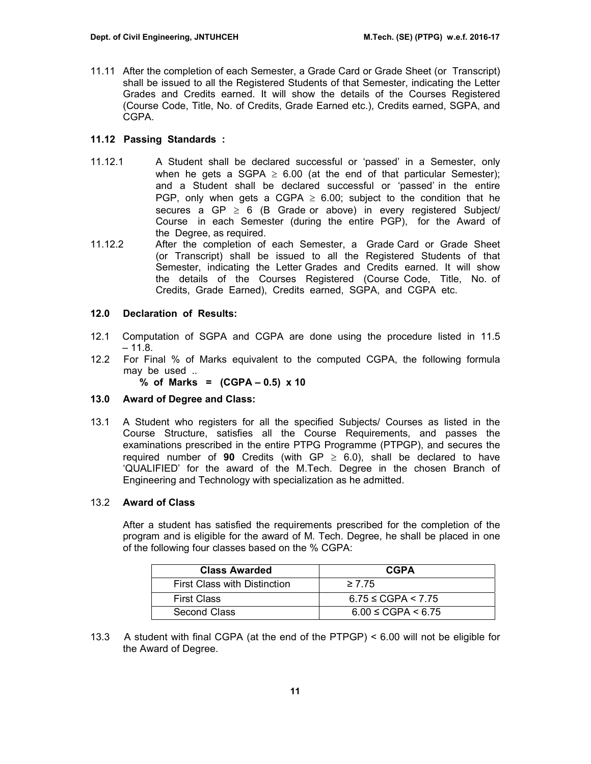11.11 After the completion of each Semester, a Grade Card or Grade Sheet (or Transcript) shall be issued to all the Registered Students of that Semester, indicating the Letter Grades and Credits earned. It will show the details of the Courses Registered (Course Code, Title, No. of Credits, Grade Earned etc.), Credits earned, SGPA, and CGPA.

# **11.12 Passing Standards :**

- 11.12.1 A Student shall be declared successful or 'passed' in a Semester, only when he gets a SGPA  $\geq$  6.00 (at the end of that particular Semester); and a Student shall be declared successful or 'passed' in the entire PGP, only when gets a CGPA  $\geq$  6.00; subject to the condition that he secures a GP  $\geq$  6 (B Grade or above) in every registered Subject/ Course in each Semester (during the entire PGP), for the Award of the Degree, as required.
- 11.12.2 After the completion of each Semester, a Grade Card or Grade Sheet (or Transcript) shall be issued to all the Registered Students of that Semester, indicating the Letter Grades and Credits earned. It will show the details of the Courses Registered (Course Code, Title, No. of Credits, Grade Earned), Credits earned, SGPA, and CGPA etc.

# **12.0 Declaration of Results:**

- 12.1 Computation of SGPA and CGPA are done using the procedure listed in 11.5  $-11.8.$
- 12.2 For Final % of Marks equivalent to the computed CGPA, the following formula may be used ..

**% of Marks = (CGPA – 0.5) x 10** 

# **13.0 Award of Degree and Class:**

13.1 A Student who registers for all the specified Subjects/ Courses as listed in the Course Structure, satisfies all the Course Requirements, and passes the examinations prescribed in the entire PTPG Programme (PTPGP), and secures the required number of **90** Credits (with  $GP \ge 6.0$ ), shall be declared to have 'QUALIFIED' for the award of the M.Tech. Degree in the chosen Branch of Engineering and Technology with specialization as he admitted.

# 13.2 **Award of Class**

After a student has satisfied the requirements prescribed for the completion of the program and is eligible for the award of M. Tech. Degree, he shall be placed in one of the following four classes based on the % CGPA:

| <b>Class Awarded</b>                | <b>CGPA</b>                |
|-------------------------------------|----------------------------|
| <b>First Class with Distinction</b> | $\geq 7.75$                |
| <b>First Class</b>                  | $6.75 \leq CGPA \leq 7.75$ |
| Second Class                        | $6.00 \leq CGPA < 6.75$    |

13.3 A student with final CGPA (at the end of the PTPGP) < 6.00 will not be eligible for the Award of Degree.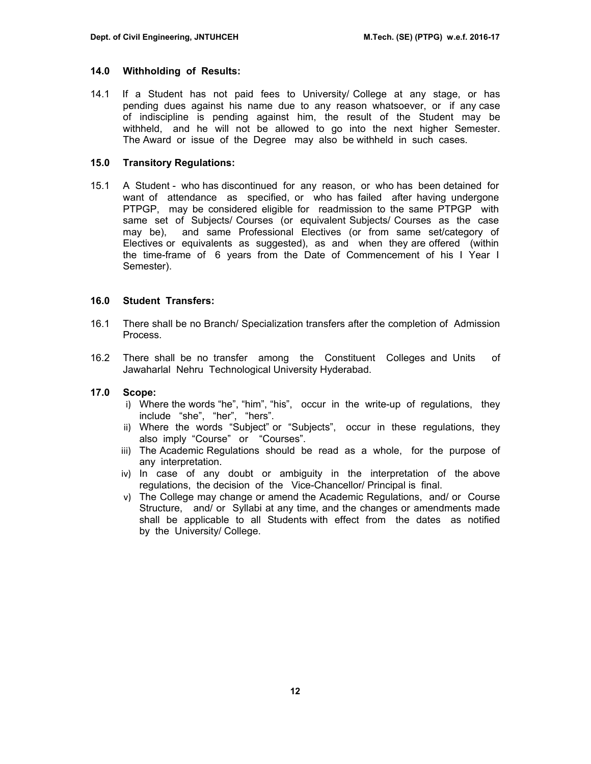#### **14.0 Withholding of Results:**

14.1 If a Student has not paid fees to University/ College at any stage, or has pending dues against his name due to any reason whatsoever, or if any case of indiscipline is pending against him, the result of the Student may be withheld, and he will not be allowed to go into the next higher Semester. The Award or issue of the Degree may also be withheld in such cases.

#### **15.0 Transitory Regulations:**

15.1 A Student - who has discontinued for any reason, or who has been detained for want of attendance as specified, or who has failed after having undergone PTPGP, may be considered eligible for readmission to the same PTPGP with same set of Subjects/ Courses (or equivalent Subjects/ Courses as the case may be), and same Professional Electives (or from same set/category of Electives or equivalents as suggested), as and when they are offered (within the time-frame of 6 years from the Date of Commencement of his I Year I Semester).

#### **16.0 Student Transfers:**

- 16.1 There shall be no Branch/ Specialization transfers after the completion of Admission Process.
- 16.2 There shall be no transfer among the Constituent Colleges and Units of Jawaharlal Nehru Technological University Hyderabad.

# **17.0 Scope:**

- i) Where the words "he", "him", "his", occur in the write-up of regulations, they include "she", "her", "hers".
- ii) Where the words "Subject" or "Subjects", occur in these regulations, they also imply "Course" or "Courses".
- iii) The Academic Regulations should be read as a whole, for the purpose of any interpretation.
- iv) In case of any doubt or ambiguity in the interpretation of the above regulations, the decision of the Vice-Chancellor/ Principal is final.
- v) The College may change or amend the Academic Regulations, and/ or Course Structure, and/ or Syllabi at any time, and the changes or amendments made shall be applicable to all Students with effect from the dates as notified by the University/ College.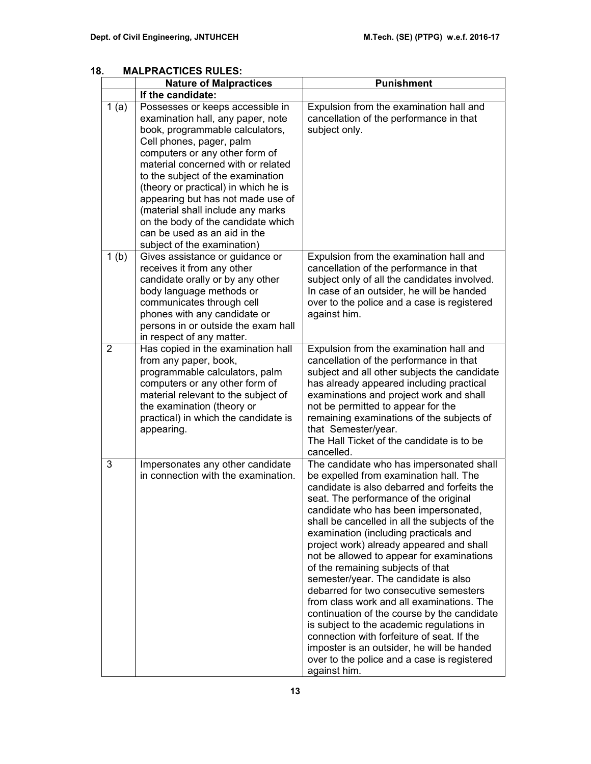|                  | וטווטבעווערעוונ<br><b>Nature of Malpractices</b>                                                                                                                                                                                                                                                                                                                                                                                                                         | <b>Punishment</b>                                                                                                                                                                                                                                                                                                                                                                                                                                                                                                                                                                                                                                                                                                                                                                                                                |  |  |  |  |
|------------------|--------------------------------------------------------------------------------------------------------------------------------------------------------------------------------------------------------------------------------------------------------------------------------------------------------------------------------------------------------------------------------------------------------------------------------------------------------------------------|----------------------------------------------------------------------------------------------------------------------------------------------------------------------------------------------------------------------------------------------------------------------------------------------------------------------------------------------------------------------------------------------------------------------------------------------------------------------------------------------------------------------------------------------------------------------------------------------------------------------------------------------------------------------------------------------------------------------------------------------------------------------------------------------------------------------------------|--|--|--|--|
|                  | If the candidate:                                                                                                                                                                                                                                                                                                                                                                                                                                                        |                                                                                                                                                                                                                                                                                                                                                                                                                                                                                                                                                                                                                                                                                                                                                                                                                                  |  |  |  |  |
| 1(a)             | Possesses or keeps accessible in<br>examination hall, any paper, note<br>book, programmable calculators,<br>Cell phones, pager, palm<br>computers or any other form of<br>material concerned with or related<br>to the subject of the examination<br>(theory or practical) in which he is<br>appearing but has not made use of<br>(material shall include any marks<br>on the body of the candidate which<br>can be used as an aid in the<br>subject of the examination) | Expulsion from the examination hall and<br>cancellation of the performance in that<br>subject only.                                                                                                                                                                                                                                                                                                                                                                                                                                                                                                                                                                                                                                                                                                                              |  |  |  |  |
| 1 <sub>(b)</sub> | Gives assistance or guidance or<br>receives it from any other<br>candidate orally or by any other<br>body language methods or<br>communicates through cell<br>phones with any candidate or<br>persons in or outside the exam hall<br>in respect of any matter.                                                                                                                                                                                                           | Expulsion from the examination hall and<br>cancellation of the performance in that<br>subject only of all the candidates involved.<br>In case of an outsider, he will be handed<br>over to the police and a case is registered<br>against him.                                                                                                                                                                                                                                                                                                                                                                                                                                                                                                                                                                                   |  |  |  |  |
| $\overline{2}$   | Has copied in the examination hall<br>from any paper, book,<br>programmable calculators, palm<br>computers or any other form of<br>material relevant to the subject of<br>the examination (theory or<br>practical) in which the candidate is<br>appearing.                                                                                                                                                                                                               | Expulsion from the examination hall and<br>cancellation of the performance in that<br>subject and all other subjects the candidate<br>has already appeared including practical<br>examinations and project work and shall<br>not be permitted to appear for the<br>remaining examinations of the subjects of<br>that Semester/year.<br>The Hall Ticket of the candidate is to be<br>cancelled.                                                                                                                                                                                                                                                                                                                                                                                                                                   |  |  |  |  |
| 3                | Impersonates any other candidate<br>in connection with the examination.                                                                                                                                                                                                                                                                                                                                                                                                  | The candidate who has impersonated shall<br>be expelled from examination hall. The<br>candidate is also debarred and forfeits the<br>seat. The performance of the original<br>candidate who has been impersonated,<br>shall be cancelled in all the subjects of the<br>examination (including practicals and<br>project work) already appeared and shall<br>not be allowed to appear for examinations<br>of the remaining subjects of that<br>semester/year. The candidate is also<br>debarred for two consecutive semesters<br>from class work and all examinations. The<br>continuation of the course by the candidate<br>is subject to the academic regulations in<br>connection with forfeiture of seat. If the<br>imposter is an outsider, he will be handed<br>over to the police and a case is registered<br>against him. |  |  |  |  |

# **18. MALPRACTICES RULES:**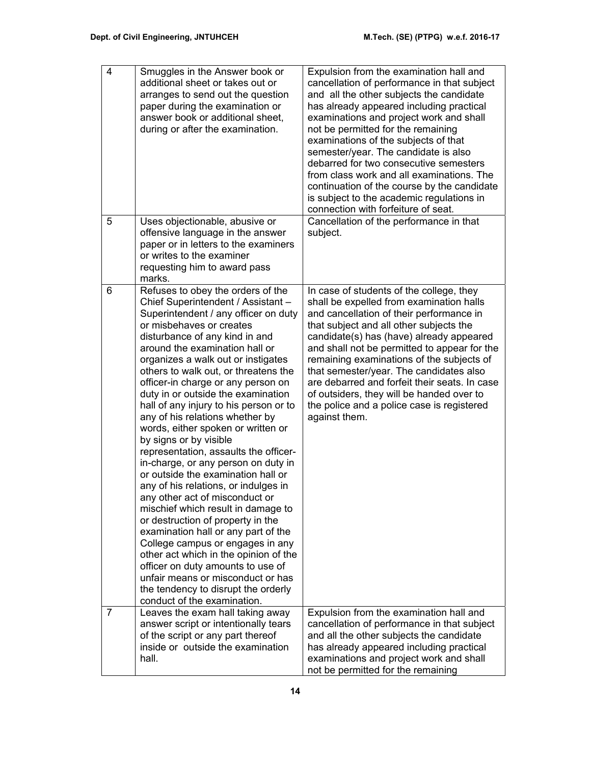| $\overline{4}$ | Smuggles in the Answer book or<br>additional sheet or takes out or<br>arranges to send out the question<br>paper during the examination or<br>answer book or additional sheet,<br>during or after the examination.                                                                                                                                                                                                                                                                                                                                                                                                                                                                                                                                                                                                                                                                                                                                                                                                                                                    | Expulsion from the examination hall and<br>cancellation of performance in that subject<br>and all the other subjects the candidate<br>has already appeared including practical<br>examinations and project work and shall<br>not be permitted for the remaining<br>examinations of the subjects of that<br>semester/year. The candidate is also<br>debarred for two consecutive semesters<br>from class work and all examinations. The<br>continuation of the course by the candidate<br>is subject to the academic regulations in<br>connection with forfeiture of seat. |
|----------------|-----------------------------------------------------------------------------------------------------------------------------------------------------------------------------------------------------------------------------------------------------------------------------------------------------------------------------------------------------------------------------------------------------------------------------------------------------------------------------------------------------------------------------------------------------------------------------------------------------------------------------------------------------------------------------------------------------------------------------------------------------------------------------------------------------------------------------------------------------------------------------------------------------------------------------------------------------------------------------------------------------------------------------------------------------------------------|---------------------------------------------------------------------------------------------------------------------------------------------------------------------------------------------------------------------------------------------------------------------------------------------------------------------------------------------------------------------------------------------------------------------------------------------------------------------------------------------------------------------------------------------------------------------------|
| 5              | Uses objectionable, abusive or<br>offensive language in the answer<br>paper or in letters to the examiners<br>or writes to the examiner<br>requesting him to award pass<br>marks.                                                                                                                                                                                                                                                                                                                                                                                                                                                                                                                                                                                                                                                                                                                                                                                                                                                                                     | Cancellation of the performance in that<br>subject.                                                                                                                                                                                                                                                                                                                                                                                                                                                                                                                       |
| 6              | Refuses to obey the orders of the<br>Chief Superintendent / Assistant -<br>Superintendent / any officer on duty<br>or misbehaves or creates<br>disturbance of any kind in and<br>around the examination hall or<br>organizes a walk out or instigates<br>others to walk out, or threatens the<br>officer-in charge or any person on<br>duty in or outside the examination<br>hall of any injury to his person or to<br>any of his relations whether by<br>words, either spoken or written or<br>by signs or by visible<br>representation, assaults the officer-<br>in-charge, or any person on duty in<br>or outside the examination hall or<br>any of his relations, or indulges in<br>any other act of misconduct or<br>mischief which result in damage to<br>or destruction of property in the<br>examination hall or any part of the<br>College campus or engages in any<br>other act which in the opinion of the<br>officer on duty amounts to use of<br>unfair means or misconduct or has<br>the tendency to disrupt the orderly<br>conduct of the examination. | In case of students of the college, they<br>shall be expelled from examination halls<br>and cancellation of their performance in<br>that subject and all other subjects the<br>candidate(s) has (have) already appeared<br>and shall not be permitted to appear for the<br>remaining examinations of the subjects of<br>that semester/year. The candidates also<br>are debarred and forfeit their seats. In case<br>of outsiders, they will be handed over to<br>the police and a police case is registered<br>against them.                                              |
| 7              | Leaves the exam hall taking away<br>answer script or intentionally tears<br>of the script or any part thereof<br>inside or outside the examination<br>hall.                                                                                                                                                                                                                                                                                                                                                                                                                                                                                                                                                                                                                                                                                                                                                                                                                                                                                                           | Expulsion from the examination hall and<br>cancellation of performance in that subject<br>and all the other subjects the candidate<br>has already appeared including practical<br>examinations and project work and shall<br>not be permitted for the remaining                                                                                                                                                                                                                                                                                                           |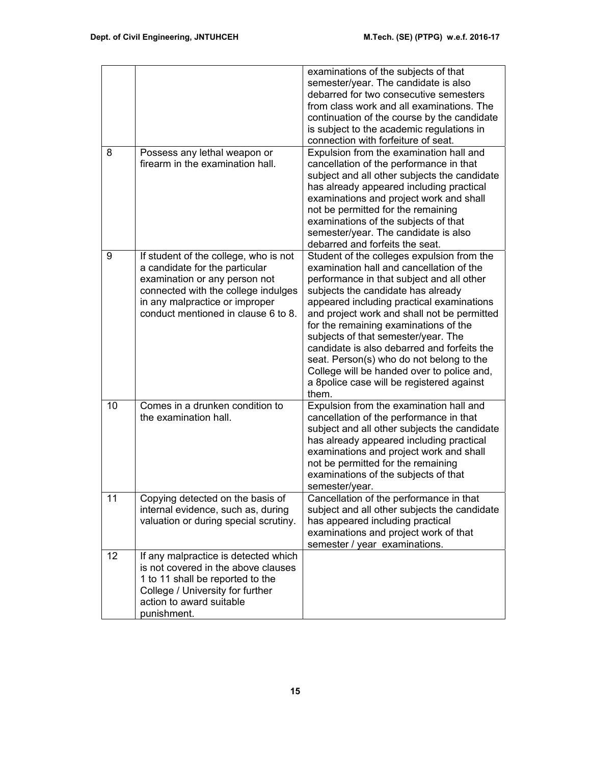|    |                                                                                                                                                                                                                          | examinations of the subjects of that<br>semester/year. The candidate is also<br>debarred for two consecutive semesters<br>from class work and all examinations. The<br>continuation of the course by the candidate<br>is subject to the academic regulations in<br>connection with forfeiture of seat.                                                                                                                                                                                                                                               |
|----|--------------------------------------------------------------------------------------------------------------------------------------------------------------------------------------------------------------------------|------------------------------------------------------------------------------------------------------------------------------------------------------------------------------------------------------------------------------------------------------------------------------------------------------------------------------------------------------------------------------------------------------------------------------------------------------------------------------------------------------------------------------------------------------|
| 8  | Possess any lethal weapon or<br>firearm in the examination hall.                                                                                                                                                         | Expulsion from the examination hall and<br>cancellation of the performance in that<br>subject and all other subjects the candidate<br>has already appeared including practical<br>examinations and project work and shall<br>not be permitted for the remaining<br>examinations of the subjects of that<br>semester/year. The candidate is also<br>debarred and forfeits the seat.                                                                                                                                                                   |
| 9  | If student of the college, who is not<br>a candidate for the particular<br>examination or any person not<br>connected with the college indulges<br>in any malpractice or improper<br>conduct mentioned in clause 6 to 8. | Student of the colleges expulsion from the<br>examination hall and cancellation of the<br>performance in that subject and all other<br>subjects the candidate has already<br>appeared including practical examinations<br>and project work and shall not be permitted<br>for the remaining examinations of the<br>subjects of that semester/year. The<br>candidate is also debarred and forfeits the<br>seat. Person(s) who do not belong to the<br>College will be handed over to police and,<br>a 8police case will be registered against<br>them. |
| 10 | Comes in a drunken condition to<br>the examination hall.                                                                                                                                                                 | Expulsion from the examination hall and<br>cancellation of the performance in that<br>subject and all other subjects the candidate<br>has already appeared including practical<br>examinations and project work and shall<br>not be permitted for the remaining<br>examinations of the subjects of that<br>semester/year.                                                                                                                                                                                                                            |
| 11 | Copying detected on the basis of<br>internal evidence, such as, during<br>valuation or during special scrutiny.                                                                                                          | Cancellation of the performance in that<br>subject and all other subjects the candidate<br>has appeared including practical<br>examinations and project work of that<br>semester / year examinations.                                                                                                                                                                                                                                                                                                                                                |
| 12 | If any malpractice is detected which<br>is not covered in the above clauses<br>1 to 11 shall be reported to the<br>College / University for further<br>action to award suitable<br>punishment.                           |                                                                                                                                                                                                                                                                                                                                                                                                                                                                                                                                                      |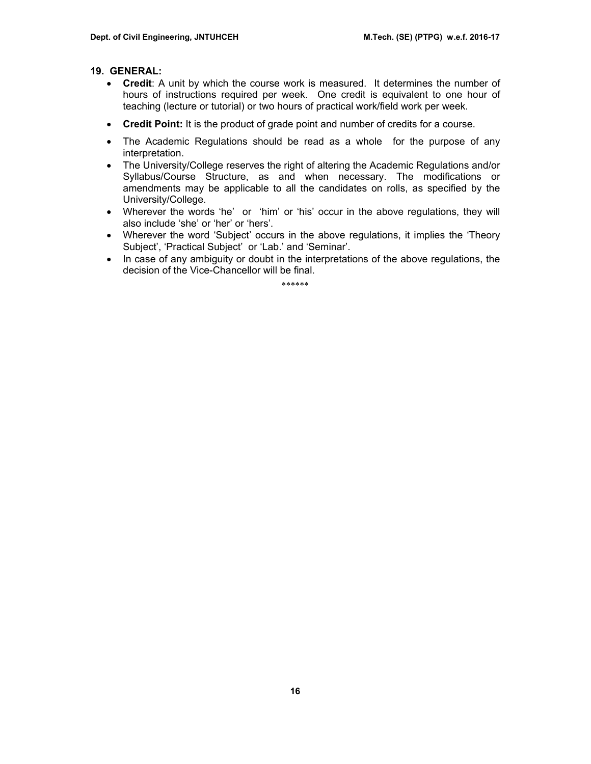# **19. GENERAL:**

- **Credit**: A unit by which the course work is measured. It determines the number of hours of instructions required per week. One credit is equivalent to one hour of teaching (lecture or tutorial) or two hours of practical work/field work per week.
- **Credit Point:** It is the product of grade point and number of credits for a course.
- The Academic Regulations should be read as a whole for the purpose of any interpretation.
- The University/College reserves the right of altering the Academic Regulations and/or Syllabus/Course Structure, as and when necessary. The modifications or amendments may be applicable to all the candidates on rolls, as specified by the University/College.
- Wherever the words 'he' or 'him' or 'his' occur in the above regulations, they will also include 'she' or 'her' or 'hers'.
- Wherever the word 'Subject' occurs in the above regulations, it implies the 'Theory Subject', 'Practical Subject' or 'Lab.' and 'Seminar'.
- In case of any ambiguity or doubt in the interpretations of the above regulations, the decision of the Vice-Chancellor will be final.

\*\*\*\*\*\*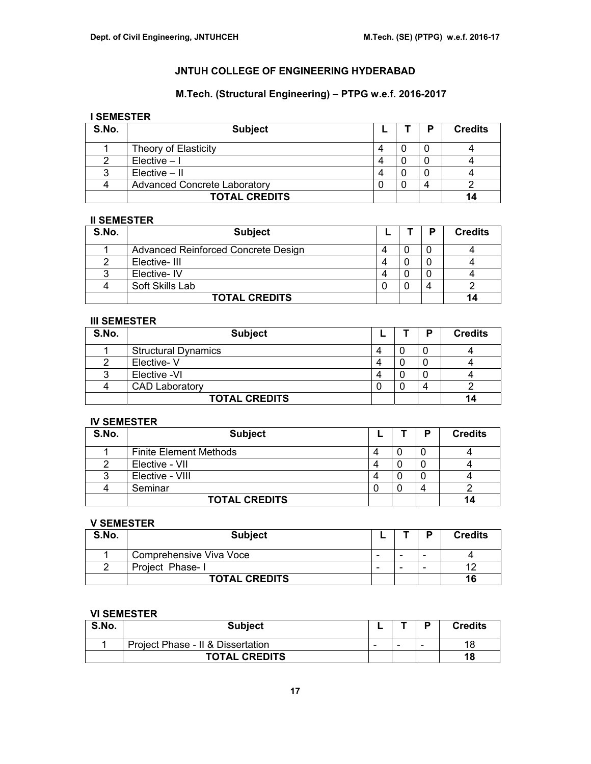# **M.Tech. (Structural Engineering) – PTPG w.e.f. 2016-2017**

# **I SEMESTER**

| S.No. | <b>Subject</b>                      |  | D | <b>Credits</b> |
|-------|-------------------------------------|--|---|----------------|
|       | Theory of Elasticity                |  |   |                |
|       | $Elective - I$                      |  |   |                |
|       | $Electric - II$                     |  |   |                |
|       | <b>Advanced Concrete Laboratory</b> |  |   |                |
|       | <b>TOTAL CREDITS</b>                |  |   | 14             |

## **II SEMESTER**

| S.No. | <b>Subject</b>                      |   | P | <b>Credits</b> |
|-------|-------------------------------------|---|---|----------------|
|       | Advanced Reinforced Concrete Design | Δ |   |                |
|       | Elective-III                        |   |   |                |
|       | Elective-IV                         | Δ |   |                |
|       | Soft Skills Lab                     |   | 4 |                |
|       | <b>TOTAL CREDITS</b>                |   |   |                |

## **III SEMESTER**

| S.No. | <b>Subject</b>             |  | P | <b>Credits</b> |
|-------|----------------------------|--|---|----------------|
|       | <b>Structural Dynamics</b> |  |   |                |
|       | Elective-V                 |  |   |                |
|       | Elective -VI               |  |   |                |
|       | <b>CAD Laboratory</b>      |  |   |                |
|       | <b>TOTAL CREDITS</b>       |  |   |                |

# **IV SEMESTER**

| S.No. | <b>Subject</b>                |   |   | D          | <b>Credits</b> |
|-------|-------------------------------|---|---|------------|----------------|
|       | <b>Finite Element Methods</b> | 4 |   |            |                |
|       | Elective - VII                |   |   |            |                |
|       | Elective - VIII               | 4 | u |            |                |
|       | Seminar                       |   |   | $\sqrt{2}$ |                |
|       | <b>TOTAL CREDITS</b>          |   |   |            |                |

#### **V SEMESTER**

| S.No. | <b>Subject</b>          |                          |                          | D | <b>Credits</b> |
|-------|-------------------------|--------------------------|--------------------------|---|----------------|
|       | Comprehensive Viva Voce | $\overline{\phantom{0}}$ | $\overline{\phantom{a}}$ | - |                |
|       | Project Phase-1         | $\overline{\phantom{0}}$ | $\overline{\phantom{a}}$ |   |                |
|       | <b>TOTAL CREDITS</b>    |                          |                          |   | 16             |

# **VI SEMESTER**

| S.No. | <b>Subject</b>                    |                          |                          |   | Credits |
|-------|-----------------------------------|--------------------------|--------------------------|---|---------|
|       | Project Phase - II & Dissertation | $\overline{\phantom{a}}$ | $\overline{\phantom{0}}$ | - | 18      |
|       | <b>TOTAL CREDITS</b>              |                          |                          |   | 18      |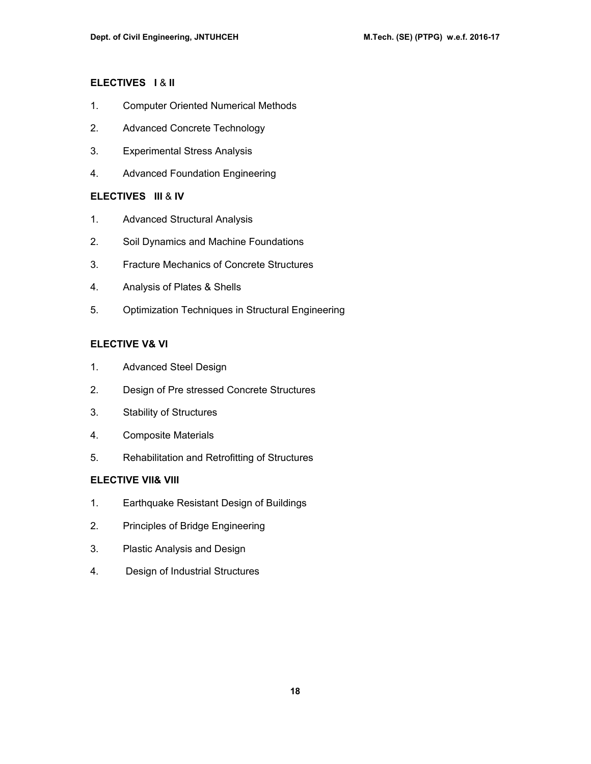# **ELECTIVES I** & **II**

- 1. Computer Oriented Numerical Methods
- 2. Advanced Concrete Technology
- 3. Experimental Stress Analysis
- 4. Advanced Foundation Engineering

# **ELECTIVES III** & **IV**

- 1. Advanced Structural Analysis
- 2. Soil Dynamics and Machine Foundations
- 3. Fracture Mechanics of Concrete Structures
- 4. Analysis of Plates & Shells
- 5. Optimization Techniques in Structural Engineering

## **ELECTIVE V& VI**

- 1. Advanced Steel Design
- 2. Design of Pre stressed Concrete Structures
- 3. Stability of Structures
- 4. Composite Materials
- 5. Rehabilitation and Retrofitting of Structures

# **ELECTIVE VII& VIII**

- 1. Earthquake Resistant Design of Buildings
- 2. Principles of Bridge Engineering
- 3. Plastic Analysis and Design
- 4. Design of Industrial Structures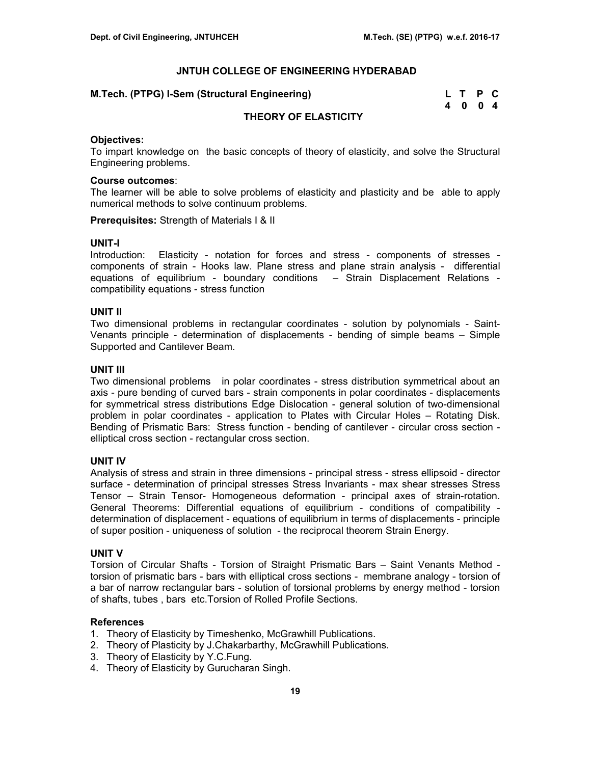| M.Tech. (PTPG) I-Sem (Structural Engineering) | L T P C |  |
|-----------------------------------------------|---------|--|
|                                               | 4004    |  |

# **THEORY OF ELASTICITY**

#### **Objectives:**

To impart knowledge on the basic concepts of theory of elasticity, and solve the Structural Engineering problems.

#### **Course outcomes**:

The learner will be able to solve problems of elasticity and plasticity and be able to apply numerical methods to solve continuum problems.

**Prerequisites:** Strength of Materials I & II

#### **UNIT-I**

Introduction: Elasticity - notation for forces and stress - components of stresses components of strain - Hooks law. Plane stress and plane strain analysis - differential equations of equilibrium - boundary conditions – Strain Displacement Relations compatibility equations - stress function

#### **UNIT II**

Two dimensional problems in rectangular coordinates - solution by polynomials - Saint-Venants principle - determination of displacements - bending of simple beams – Simple Supported and Cantilever Beam.

#### **UNIT III**

Two dimensional problems in polar coordinates - stress distribution symmetrical about an axis - pure bending of curved bars - strain components in polar coordinates - displacements for symmetrical stress distributions Edge Dislocation - general solution of two-dimensional problem in polar coordinates - application to Plates with Circular Holes – Rotating Disk. Bending of Prismatic Bars: Stress function - bending of cantilever - circular cross section elliptical cross section - rectangular cross section.

# **UNIT IV**

Analysis of stress and strain in three dimensions - principal stress - stress ellipsoid - director surface - determination of principal stresses Stress Invariants - max shear stresses Stress Tensor – Strain Tensor- Homogeneous deformation - principal axes of strain-rotation. General Theorems: Differential equations of equilibrium - conditions of compatibility determination of displacement - equations of equilibrium in terms of displacements - principle of super position - uniqueness of solution - the reciprocal theorem Strain Energy.

# **UNIT V**

Torsion of Circular Shafts - Torsion of Straight Prismatic Bars – Saint Venants Method torsion of prismatic bars - bars with elliptical cross sections - membrane analogy - torsion of a bar of narrow rectangular bars - solution of torsional problems by energy method - torsion of shafts, tubes , bars etc.Torsion of Rolled Profile Sections.

#### **References**

- 1. Theory of Elasticity by Timeshenko, McGrawhill Publications.
- 2. Theory of Plasticity by J.Chakarbarthy, McGrawhill Publications.
- 3. Theory of Elasticity by Y.C.Fung.
- 4. Theory of Elasticity by Gurucharan Singh.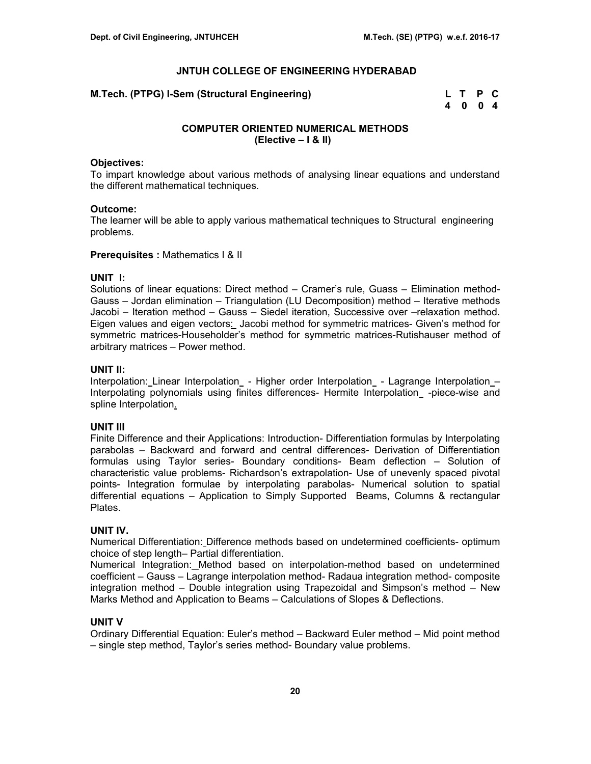**M.Tech. (PTPG) I-Sem (Structural Engineering)** 

| M.Tech. (PTPG) I-Sem (Structural Engineering) | L T P C |  |
|-----------------------------------------------|---------|--|
|                                               | 4004    |  |

# **COMPUTER ORIENTED NUMERICAL METHODS (Elective – I & II)**

#### **Objectives:**

To impart knowledge about various methods of analysing linear equations and understand the different mathematical techniques.

#### **Outcome:**

The learner will be able to apply various mathematical techniques to Structural engineering problems.

#### **Prerequisites : Mathematics | & ||**

# **UNIT I:**

Solutions of linear equations: Direct method – Cramer's rule, Guass – Elimination method-Gauss – Jordan elimination – Triangulation (LU Decomposition) method – Iterative methods Jacobi – Iteration method – Gauss – Siedel iteration, Successive over –relaxation method. Eigen values and eigen vectors: Jacobi method for symmetric matrices- Given's method for symmetric matrices-Householder's method for symmetric matrices-Rutishauser method of arbitrary matrices – Power method.

#### **UNIT II:**

Interpolation: Linear Interpolation - Higher order Interpolation - Lagrange Interpolation – Interpolating polynomials using finites differences- Hermite Interpolation\_-piece-wise and spline Interpolation.

# **UNIT III**

Finite Difference and their Applications: Introduction- Differentiation formulas by Interpolating parabolas – Backward and forward and central differences- Derivation of Differentiation formulas using Taylor series- Boundary conditions- Beam deflection – Solution of characteristic value problems- Richardson's extrapolation- Use of unevenly spaced pivotal points- Integration formulae by interpolating parabolas- Numerical solution to spatial differential equations – Application to Simply Supported Beams, Columns & rectangular Plates.

# **UNIT IV.**

Numerical Differentiation: Difference methods based on undetermined coefficients- optimum choice of step length– Partial differentiation.

Numerical Integration: Method based on interpolation-method based on undetermined coefficient – Gauss – Lagrange interpolation method- Radaua integration method- composite integration method – Double integration using Trapezoidal and Simpson's method – New Marks Method and Application to Beams – Calculations of Slopes & Deflections.

# **UNIT V**

Ordinary Differential Equation: Euler's method – Backward Euler method – Mid point method – single step method, Taylor's series method- Boundary value problems.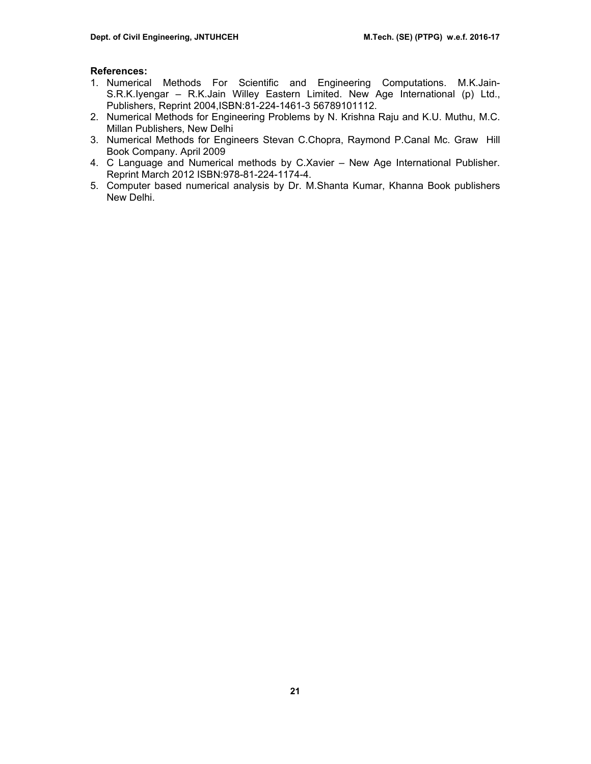# **References:**

- 1. Numerical Methods For Scientific and Engineering Computations. M.K.Jain-S.R.K.Iyengar – R.K.Jain Willey Eastern Limited. New Age International (p) Ltd., Publishers, Reprint 2004,ISBN:81-224-1461-3 56789101112.
- 2. Numerical Methods for Engineering Problems by N. Krishna Raju and K.U. Muthu, M.C. Millan Publishers, New Delhi
- 3. Numerical Methods for Engineers Stevan C.Chopra, Raymond P.Canal Mc. Graw Hill Book Company. April 2009
- 4. C Language and Numerical methods by C.Xavier New Age International Publisher. Reprint March 2012 ISBN:978-81-224-1174-4.
- 5. Computer based numerical analysis by Dr. M.Shanta Kumar, Khanna Book publishers New Delhi.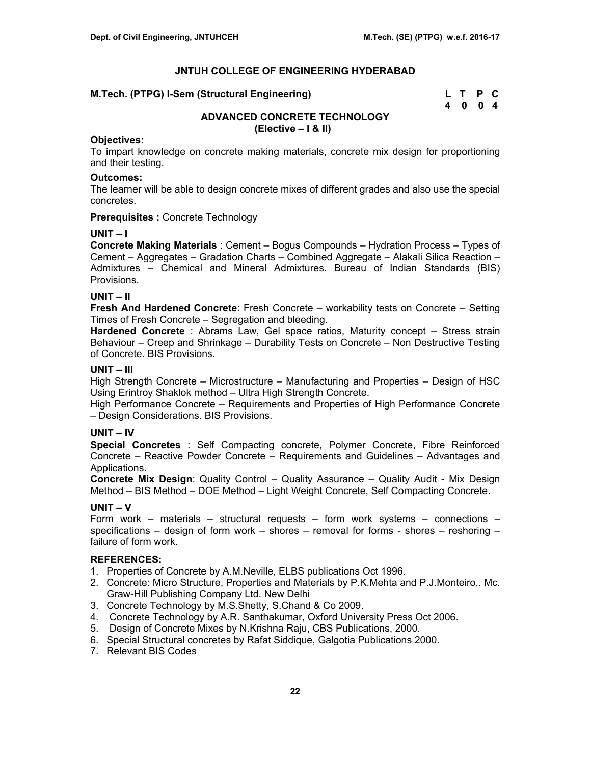| M.Tech. (PTPG) I-Sem (Structural Engineering) | L T P C |  |
|-----------------------------------------------|---------|--|
|                                               | 4004    |  |

# **ADVANCED CONCRETE TECHNOLOGY (Elective – I & II)**

#### **Objectives:**

To impart knowledge on concrete making materials, concrete mix design for proportioning and their testing.

#### **Outcomes:**

The learner will be able to design concrete mixes of different grades and also use the special concretes.

**Prerequisites :** Concrete Technology

#### **UNIT – I**

**Concrete Making Materials** : Cement – Bogus Compounds – Hydration Process – Types of Cement – Aggregates – Gradation Charts – Combined Aggregate – Alakali Silica Reaction – Admixtures – Chemical and Mineral Admixtures. Bureau of Indian Standards (BIS) Provisions.

# **UNIT – II**

**Fresh And Hardened Concrete**: Fresh Concrete – workability tests on Concrete – Setting Times of Fresh Concrete – Segregation and bleeding.

**Hardened Concrete** : Abrams Law, Gel space ratios, Maturity concept – Stress strain Behaviour – Creep and Shrinkage – Durability Tests on Concrete – Non Destructive Testing of Concrete. BIS Provisions.

# **UNIT – III**

High Strength Concrete – Microstructure – Manufacturing and Properties – Design of HSC Using Erintroy Shaklok method – Ultra High Strength Concrete.

High Performance Concrete – Requirements and Properties of High Performance Concrete – Design Considerations. BIS Provisions.

# **UNIT – IV**

**Special Concretes** : Self Compacting concrete, Polymer Concrete, Fibre Reinforced Concrete – Reactive Powder Concrete – Requirements and Guidelines – Advantages and Applications.

**Concrete Mix Design**: Quality Control – Quality Assurance – Quality Audit - Mix Design Method – BIS Method – DOE Method – Light Weight Concrete, Self Compacting Concrete.

# **UNIT – V**

Form work – materials – structural requests – form work systems – connections – specifications – design of form work – shores – removal for forms - shores – reshoring – failure of form work.

# **REFERENCES:**

- 1. Properties of Concrete by A.M.Neville, ELBS publications Oct 1996.
- 2. Concrete: Micro Structure, Properties and Materials by P.K.Mehta and P.J.Monteiro,. Mc. Graw-Hill Publishing Company Ltd. New Delhi
- 3. Concrete Technology by M.S.Shetty, S.Chand & Co 2009.
- 4. Concrete Technology by A.R. Santhakumar, Oxford University Press Oct 2006.
- 5. Design of Concrete Mixes by N.Krishna Raju, CBS Publications, 2000.
- 6. Special Structural concretes by Rafat Siddique, Galgotia Publications 2000.
- 7. Relevant BIS Codes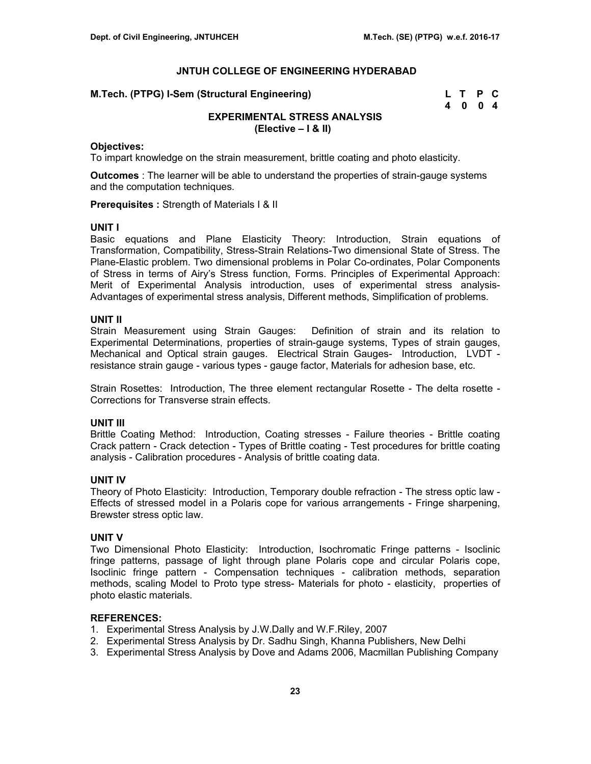#### **M.Tech. (PTPG) I-Sem (Structural Engineering)**

| M.Tech. (PTPG) I-Sem (Structural Engineering) | L T P C |  |
|-----------------------------------------------|---------|--|
|                                               | 4004    |  |

# **EXPERIMENTAL STRESS ANALYSIS (Elective – I & II)**

#### **Objectives:**

To impart knowledge on the strain measurement, brittle coating and photo elasticity.

**Outcomes** : The learner will be able to understand the properties of strain-gauge systems and the computation techniques.

**Prerequisites :** Strength of Materials I & II

#### **UNIT I**

Basic equations and Plane Elasticity Theory: Introduction, Strain equations of Transformation, Compatibility, Stress-Strain Relations-Two dimensional State of Stress. The Plane-Elastic problem. Two dimensional problems in Polar Co-ordinates, Polar Components of Stress in terms of Airy's Stress function, Forms. Principles of Experimental Approach: Merit of Experimental Analysis introduction, uses of experimental stress analysis-Advantages of experimental stress analysis, Different methods, Simplification of problems.

#### **UNIT II**

Strain Measurement using Strain Gauges: Definition of strain and its relation to Experimental Determinations, properties of strain-gauge systems, Types of strain gauges, Mechanical and Optical strain gauges. Electrical Strain Gauges- Introduction, LVDT resistance strain gauge - various types - gauge factor, Materials for adhesion base, etc.

Strain Rosettes:Introduction, The three element rectangular Rosette - The delta rosette - Corrections for Transverse strain effects.

#### **UNIT III**

Brittle Coating Method: Introduction, Coating stresses - Failure theories - Brittle coating Crack pattern - Crack detection - Types of Brittle coating - Test procedures for brittle coating analysis - Calibration procedures - Analysis of brittle coating data.

#### **UNIT IV**

Theory of Photo Elasticity: Introduction, Temporary double refraction - The stress optic law - Effects of stressed model in a Polaris cope for various arrangements - Fringe sharpening, Brewster stress optic law.

#### **UNIT V**

Two Dimensional Photo Elasticity: Introduction, Isochromatic Fringe patterns - Isoclinic fringe patterns, passage of light through plane Polaris cope and circular Polaris cope, Isoclinic fringe pattern - Compensation techniques - calibration methods, separation methods, scaling Model to Proto type stress- Materials for photo - elasticity, properties of photo elastic materials.

# **REFERENCES:**

- 1. Experimental Stress Analysis by J.W.Dally and W.F.Riley, 2007
- 2. Experimental Stress Analysis by Dr. Sadhu Singh, Khanna Publishers, New Delhi
- 3. Experimental Stress Analysis by Dove and Adams 2006, Macmillan Publishing Company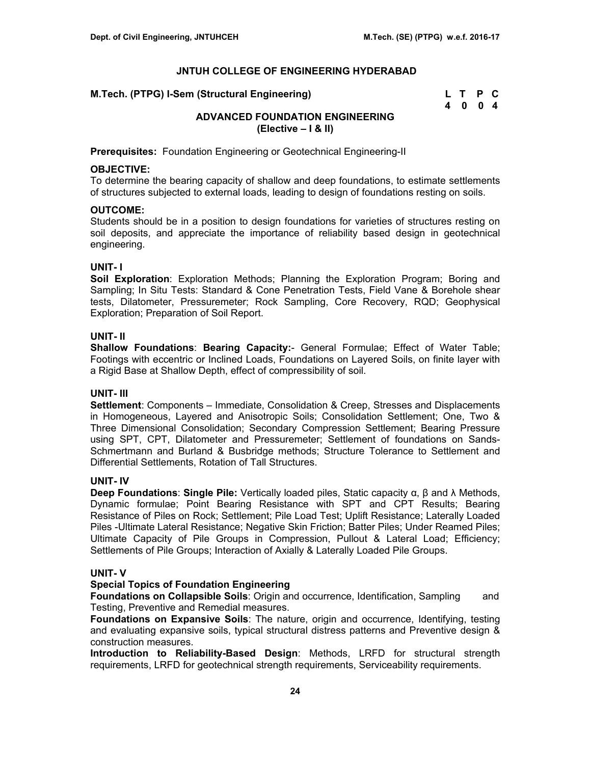| M.Tech. (PTPG) I-Sem (Structural Engineering) | L T P C |  |
|-----------------------------------------------|---------|--|
|                                               | 4004    |  |

# **ADVANCED FOUNDATION ENGINEERING (Elective – I & II)**

**Prerequisites:** Foundation Engineering or Geotechnical Engineering-II

# **OBJECTIVE:**

To determine the bearing capacity of shallow and deep foundations, to estimate settlements of structures subjected to external loads, leading to design of foundations resting on soils.

#### **OUTCOME:**

Students should be in a position to design foundations for varieties of structures resting on soil deposits, and appreciate the importance of reliability based design in geotechnical engineering.

## **UNIT- I**

**Soil Exploration**: Exploration Methods; Planning the Exploration Program; Boring and Sampling; In Situ Tests: Standard & Cone Penetration Tests, Field Vane & Borehole shear tests, Dilatometer, Pressuremeter; Rock Sampling, Core Recovery, RQD; Geophysical Exploration; Preparation of Soil Report.

#### **UNIT- II**

**Shallow Foundations**: **Bearing Capacity:**- General Formulae; Effect of Water Table; Footings with eccentric or Inclined Loads, Foundations on Layered Soils, on finite layer with a Rigid Base at Shallow Depth, effect of compressibility of soil.

# **UNIT- III**

**Settlement**: Components – Immediate, Consolidation & Creep, Stresses and Displacements in Homogeneous, Layered and Anisotropic Soils; Consolidation Settlement; One, Two & Three Dimensional Consolidation; Secondary Compression Settlement; Bearing Pressure using SPT, CPT, Dilatometer and Pressuremeter; Settlement of foundations on Sands-Schmertmann and Burland & Busbridge methods; Structure Tolerance to Settlement and Differential Settlements, Rotation of Tall Structures.

# **UNIT- IV**

**Deep Foundations**: **Single Pile:** Vertically loaded piles, Static capacity α, β and λ Methods, Dynamic formulae; Point Bearing Resistance with SPT and CPT Results; Bearing Resistance of Piles on Rock; Settlement; Pile Load Test; Uplift Resistance; Laterally Loaded Piles -Ultimate Lateral Resistance; Negative Skin Friction; Batter Piles; Under Reamed Piles; Ultimate Capacity of Pile Groups in Compression, Pullout & Lateral Load; Efficiency; Settlements of Pile Groups; Interaction of Axially & Laterally Loaded Pile Groups.

# **UNIT- V**

#### **Special Topics of Foundation Engineering**

**Foundations on Collapsible Soils: Origin and occurrence, Identification, Sampling and** Testing, Preventive and Remedial measures.

**Foundations on Expansive Soils**: The nature, origin and occurrence, Identifying, testing and evaluating expansive soils, typical structural distress patterns and Preventive design & construction measures.

**Introduction to Reliability-Based Design**: Methods, LRFD for structural strength requirements, LRFD for geotechnical strength requirements, Serviceability requirements.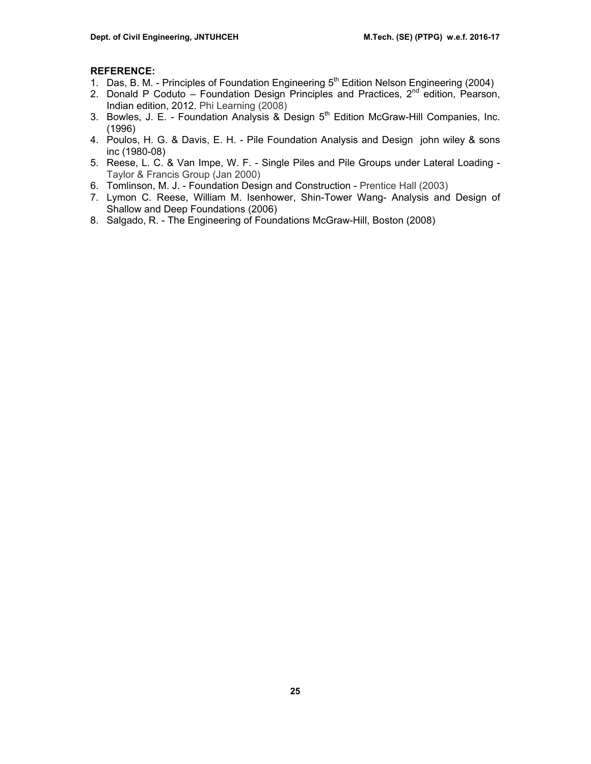# **REFERENCE:**

- 1. Das, B. M. Principles of Foundation Engineering 5<sup>th</sup> Edition Nelson Engineering (2004)
- 2. Donald P Coduto Foundation Design Principles and Practices,  $2^{nd}$  edition, Pearson, Indian edition, 2012. Phi Learning (2008)
- 3. Bowles, J. E. Foundation Analysis & Design 5<sup>th</sup> Edition McGraw-Hill Companies, Inc. (1996)
- 4. Poulos, H. G. & Davis, E. H. Pile Foundation Analysis and Design john wiley & sons inc (1980-08)
- 5. Reese, L. C. & Van Impe, W. F. Single Piles and Pile Groups under Lateral Loading Taylor & Francis Group (Jan 2000)
- 6. Tomlinson, M. J. Foundation Design and Construction Prentice Hall (2003)
- 7. Lymon C. Reese, William M. Isenhower, Shin-Tower Wang- Analysis and Design of Shallow and Deep Foundations (2006)
- 8. Salgado, R. The Engineering of Foundations McGraw-Hill, Boston (2008)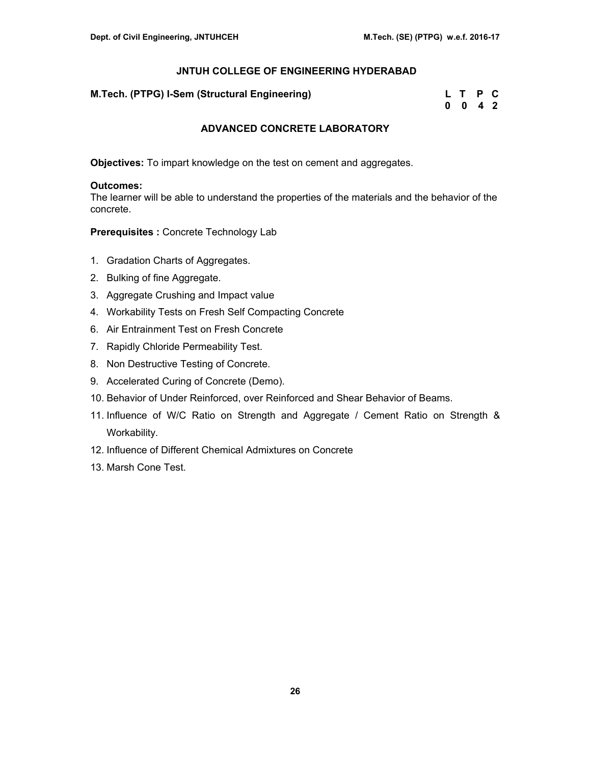**M.Tech. (PTPG) I-Sem (Structural Engineering)** 

| M.Tech. (PTPG) I-Sem (Structural Engineering) | L T P C            |  |
|-----------------------------------------------|--------------------|--|
|                                               | $0 \t 0 \t 4 \t 2$ |  |

# **ADVANCED CONCRETE LABORATORY**

**Objectives:** To impart knowledge on the test on cement and aggregates.

#### **Outcomes:**

The learner will be able to understand the properties of the materials and the behavior of the concrete.

**Prerequisites :** Concrete Technology Lab

- 1. Gradation Charts of Aggregates.
- 2. Bulking of fine Aggregate.
- 3. Aggregate Crushing and Impact value
- 4. Workability Tests on Fresh Self Compacting Concrete
- 6. Air Entrainment Test on Fresh Concrete
- 7. Rapidly Chloride Permeability Test.
- 8. Non Destructive Testing of Concrete.
- 9. Accelerated Curing of Concrete (Demo).
- 10. Behavior of Under Reinforced, over Reinforced and Shear Behavior of Beams.
- 11. Influence of W/C Ratio on Strength and Aggregate / Cement Ratio on Strength & Workability.
- 12. Influence of Different Chemical Admixtures on Concrete
- 13. Marsh Cone Test.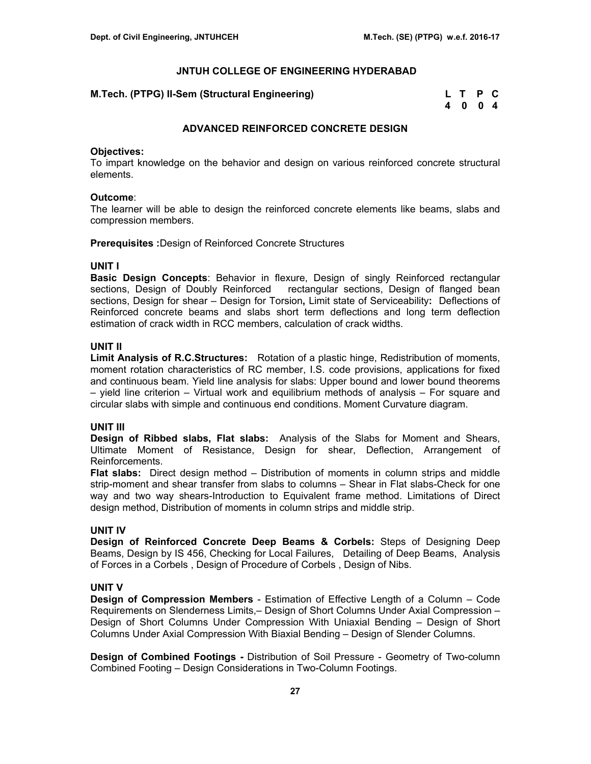| M.Tech. (PTPG) II-Sem (Structural Engineering) | L T P C |  |
|------------------------------------------------|---------|--|
|                                                | 4004    |  |

# **ADVANCED REINFORCED CONCRETE DESIGN**

#### **Objectives:**

To impart knowledge on the behavior and design on various reinforced concrete structural elements.

#### **Outcome**:

The learner will be able to design the reinforced concrete elements like beams, slabs and compression members.

**Prerequisites :**Design of Reinforced Concrete Structures

#### **UNIT I**

**Basic Design Concepts**: Behavior in flexure, Design of singly Reinforced rectangular sections, Design of Doubly Reinforced rectangular sections, Design of flanged bean sections, Design for shear – Design for Torsion**,** Limit state of Serviceability**:** Deflections of Reinforced concrete beams and slabs short term deflections and long term deflection estimation of crack width in RCC members, calculation of crack widths.

# **UNIT II**

**Limit Analysis of R.C.Structures:** Rotation of a plastic hinge, Redistribution of moments, moment rotation characteristics of RC member, I.S. code provisions, applications for fixed and continuous beam. Yield line analysis for slabs: Upper bound and lower bound theorems – yield line criterion – Virtual work and equilibrium methods of analysis – For square and circular slabs with simple and continuous end conditions. Moment Curvature diagram.

# **UNIT III**

**Design of Ribbed slabs, Flat slabs:** Analysis of the Slabs for Moment and Shears, Ultimate Moment of Resistance, Design for shear, Deflection, Arrangement of Reinforcements.

**Flat slabs:** Direct design method – Distribution of moments in column strips and middle strip-moment and shear transfer from slabs to columns – Shear in Flat slabs-Check for one way and two way shears-Introduction to Equivalent frame method. Limitations of Direct design method, Distribution of moments in column strips and middle strip.

# **UNIT IV**

**Design of Reinforced Concrete Deep Beams & Corbels:** Steps of Designing Deep Beams, Design by IS 456, Checking for Local Failures, Detailing of Deep Beams, Analysis of Forces in a Corbels , Design of Procedure of Corbels , Design of Nibs.

# **UNIT V**

**Design of Compression Members** - Estimation of Effective Length of a Column – Code Requirements on Slenderness Limits,– Design of Short Columns Under Axial Compression – Design of Short Columns Under Compression With Uniaxial Bending – Design of Short Columns Under Axial Compression With Biaxial Bending – Design of Slender Columns.

**Design of Combined Footings -** Distribution of Soil Pressure - Geometry of Two-column Combined Footing – Design Considerations in Two-Column Footings.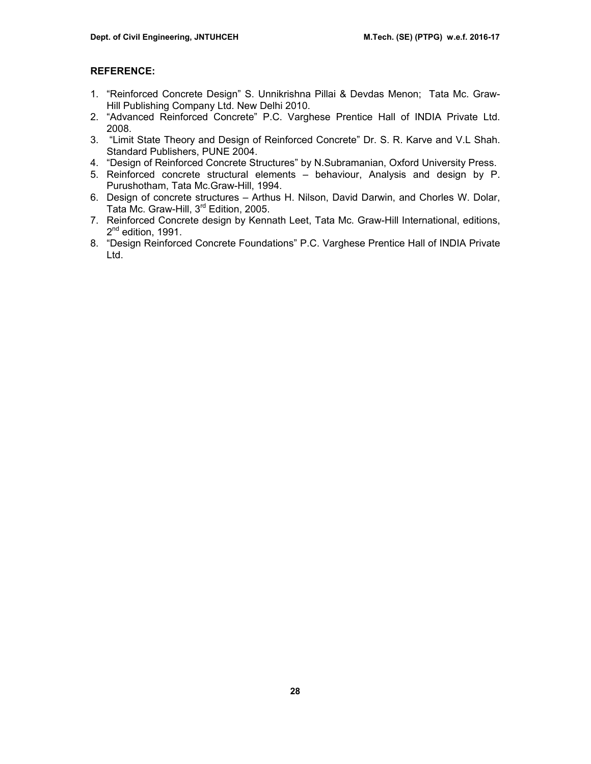## **REFERENCE:**

- 1. "Reinforced Concrete Design" S. Unnikrishna Pillai & Devdas Menon; Tata Mc. Graw-Hill Publishing Company Ltd. New Delhi 2010.
- 2. "Advanced Reinforced Concrete" P.C. Varghese Prentice Hall of INDIA Private Ltd. 2008.
- 3. "Limit State Theory and Design of Reinforced Concrete" Dr. S. R. Karve and V.L Shah. Standard Publishers, PUNE 2004.
- 4. "Design of Reinforced Concrete Structures" by N.Subramanian, Oxford University Press.
- 5. Reinforced concrete structural elements behaviour, Analysis and design by P. Purushotham, Tata Mc.Graw-Hill, 1994.
- 6. Design of concrete structures Arthus H. Nilson, David Darwin, and Chorles W. Dolar, Tata Mc. Graw-Hill, 3rd Edition, 2005.
- 7. Reinforced Concrete design by Kennath Leet, Tata Mc. Graw-Hill International, editions,  $2^{nd}$  edition, 1991.
- 8. "Design Reinforced Concrete Foundations" P.C. Varghese Prentice Hall of INDIA Private Ltd.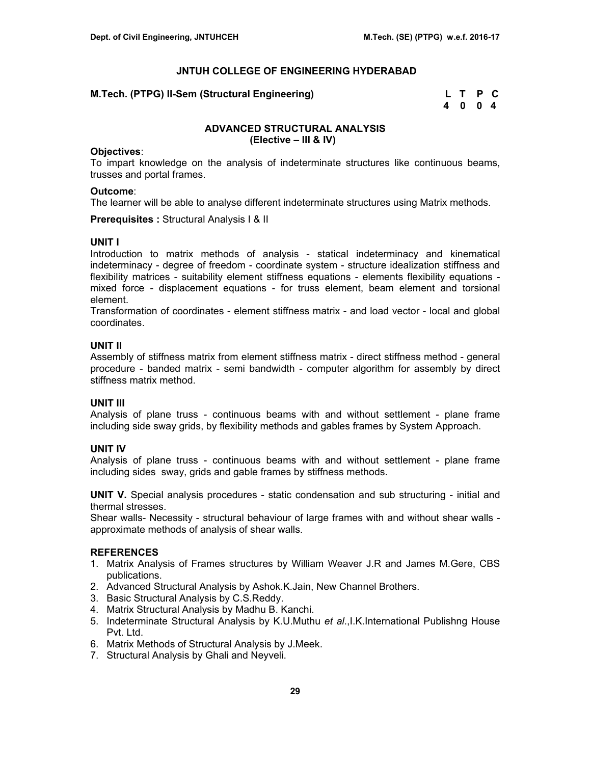**M.Tech. (PTPG) II-Sem (Structural Engineering)** 

| l.Tech. (PTPG) II-Sem (Structural Engineering) |      | L T P C |  |
|------------------------------------------------|------|---------|--|
|                                                | 4004 |         |  |

# **ADVANCED STRUCTURAL ANALYSIS (Elective – III & IV)**

#### **Objectives**:

To impart knowledge on the analysis of indeterminate structures like continuous beams, trusses and portal frames.

# **Outcome**:

The learner will be able to analyse different indeterminate structures using Matrix methods.

**Prerequisites :** Structural Analysis I & II

#### **UNIT I**

Introduction to matrix methods of analysis - statical indeterminacy and kinematical indeterminacy - degree of freedom - coordinate system - structure idealization stiffness and flexibility matrices - suitability element stiffness equations - elements flexibility equations mixed force - displacement equations - for truss element, beam element and torsional element.

Transformation of coordinates - element stiffness matrix - and load vector - local and global coordinates.

# **UNIT II**

Assembly of stiffness matrix from element stiffness matrix - direct stiffness method - general procedure - banded matrix - semi bandwidth - computer algorithm for assembly by direct stiffness matrix method.

# **UNIT III**

Analysis of plane truss - continuous beams with and without settlement - plane frame including side sway grids, by flexibility methods and gables frames by System Approach.

# **UNIT IV**

Analysis of plane truss - continuous beams with and without settlement - plane frame including sides sway, grids and gable frames by stiffness methods.

**UNIT V.** Special analysis procedures - static condensation and sub structuring - initial and thermal stresses.

Shear walls- Necessity - structural behaviour of large frames with and without shear walls approximate methods of analysis of shear walls.

# **REFERENCES**

- 1. Matrix Analysis of Frames structures by William Weaver J.R and James M.Gere, CBS publications.
- 2. Advanced Structural Analysis by Ashok.K.Jain, New Channel Brothers.
- 3. Basic Structural Analysis by C.S.Reddy.
- 4. Matrix Structural Analysis by Madhu B. Kanchi.
- 5. Indeterminate Structural Analysis by K.U.Muthu *et al*.,I.K.International Publishng House Pvt. Ltd.
- 6. Matrix Methods of Structural Analysis by J.Meek.
- 7. Structural Analysis by Ghali and Neyveli.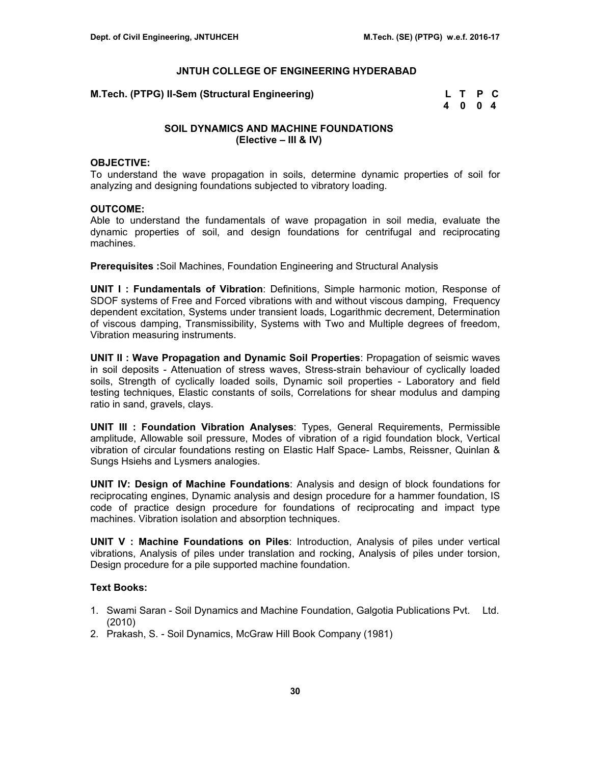**M.Tech. (PTPG) II-Sem (Structural Engineering)** 

| I.Tech. (PTPG) II-Sem (Structural Engineering) | L T P C |  |  |
|------------------------------------------------|---------|--|--|
|                                                | 4004    |  |  |

# **SOIL DYNAMICS AND MACHINE FOUNDATIONS (Elective – III & IV)**

#### **OBJECTIVE:**

To understand the wave propagation in soils, determine dynamic properties of soil for analyzing and designing foundations subjected to vibratory loading.

#### **OUTCOME:**

Able to understand the fundamentals of wave propagation in soil media, evaluate the dynamic properties of soil, and design foundations for centrifugal and reciprocating machines.

**Prerequisites :**Soil Machines, Foundation Engineering and Structural Analysis

**UNIT I : Fundamentals of Vibration**: Definitions, Simple harmonic motion, Response of SDOF systems of Free and Forced vibrations with and without viscous damping, Frequency dependent excitation, Systems under transient loads, Logarithmic decrement, Determination of viscous damping, Transmissibility, Systems with Two and Multiple degrees of freedom, Vibration measuring instruments.

**UNIT II : Wave Propagation and Dynamic Soil Properties**: Propagation of seismic waves in soil deposits - Attenuation of stress waves, Stress-strain behaviour of cyclically loaded soils, Strength of cyclically loaded soils, Dynamic soil properties - Laboratory and field testing techniques, Elastic constants of soils, Correlations for shear modulus and damping ratio in sand, gravels, clays.

**UNIT III : Foundation Vibration Analyses**: Types, General Requirements, Permissible amplitude, Allowable soil pressure, Modes of vibration of a rigid foundation block, Vertical vibration of circular foundations resting on Elastic Half Space- Lambs, Reissner, Quinlan & Sungs Hsiehs and Lysmers analogies.

**UNIT IV: Design of Machine Foundations**: Analysis and design of block foundations for reciprocating engines, Dynamic analysis and design procedure for a hammer foundation, IS code of practice design procedure for foundations of reciprocating and impact type machines. Vibration isolation and absorption techniques.

**UNIT V : Machine Foundations on Piles**: Introduction, Analysis of piles under vertical vibrations, Analysis of piles under translation and rocking, Analysis of piles under torsion, Design procedure for a pile supported machine foundation.

# **Text Books:**

- 1. Swami Saran Soil Dynamics and Machine Foundation, Galgotia Publications Pvt. Ltd. (2010)
- 2. Prakash, S. Soil Dynamics, McGraw Hill Book Company (1981)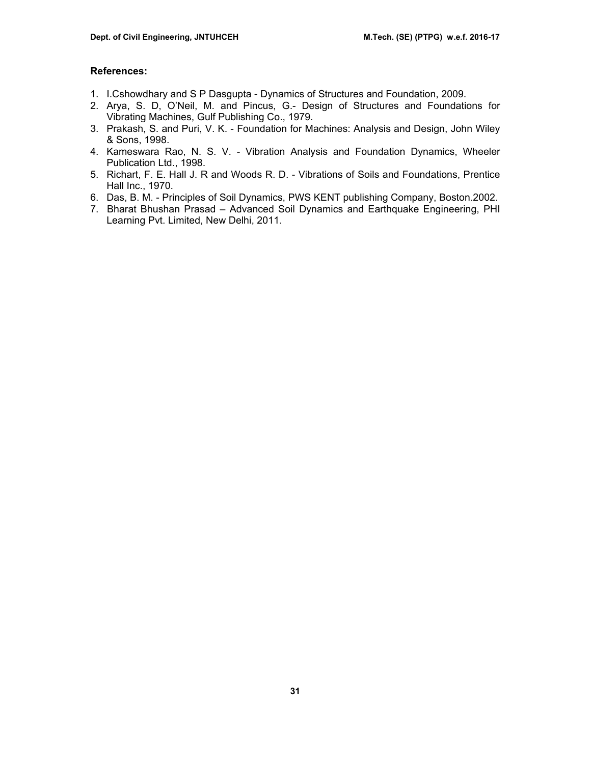## **References:**

- 1. I.Cshowdhary and S P Dasgupta Dynamics of Structures and Foundation, 2009.
- 2. Arya, S. D, O'Neil, M. and Pincus, G.- Design of Structures and Foundations for Vibrating Machines, Gulf Publishing Co., 1979.
- 3. Prakash, S. and Puri, V. K. Foundation for Machines: Analysis and Design, John Wiley & Sons, 1998.
- 4. Kameswara Rao, N. S. V. Vibration Analysis and Foundation Dynamics, Wheeler Publication Ltd., 1998.
- 5. Richart, F. E. Hall J. R and Woods R. D. Vibrations of Soils and Foundations, Prentice Hall Inc., 1970.
- 6. Das, B. M. Principles of Soil Dynamics, PWS KENT publishing Company, Boston.2002.
- 7. Bharat Bhushan Prasad Advanced Soil Dynamics and Earthquake Engineering, PHI Learning Pvt. Limited, New Delhi, 2011.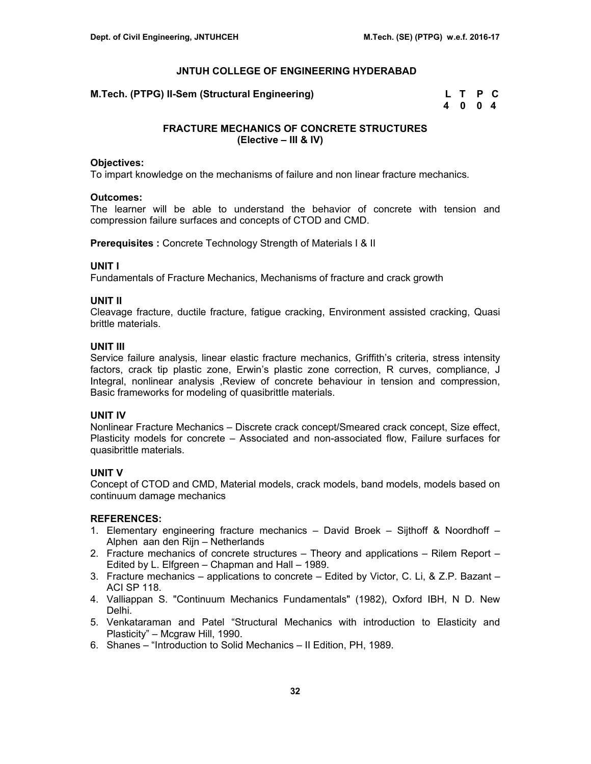**M.Tech. (PTPG) II-Sem (Structural Engineering)** 

| l.Tech. (PTPG) II-Sem (Structural Engineering) |      | L T P C |  |  |
|------------------------------------------------|------|---------|--|--|
|                                                | 4004 |         |  |  |

# **FRACTURE MECHANICS OF CONCRETE STRUCTURES (Elective – III & IV)**

#### **Objectives:**

To impart knowledge on the mechanisms of failure and non linear fracture mechanics.

#### **Outcomes:**

The learner will be able to understand the behavior of concrete with tension and compression failure surfaces and concepts of CTOD and CMD.

**Prerequisites :** Concrete Technology Strength of Materials I & II

# **UNIT I**

Fundamentals of Fracture Mechanics, Mechanisms of fracture and crack growth

#### **UNIT II**

Cleavage fracture, ductile fracture, fatigue cracking, Environment assisted cracking, Quasi brittle materials.

#### **UNIT III**

Service failure analysis, linear elastic fracture mechanics, Griffith's criteria, stress intensity factors, crack tip plastic zone, Erwin's plastic zone correction, R curves, compliance, J Integral, nonlinear analysis ,Review of concrete behaviour in tension and compression, Basic frameworks for modeling of quasibrittle materials.

# **UNIT IV**

Nonlinear Fracture Mechanics – Discrete crack concept/Smeared crack concept, Size effect, Plasticity models for concrete – Associated and non-associated flow, Failure surfaces for quasibrittle materials.

# **UNIT V**

Concept of CTOD and CMD, Material models, crack models, band models, models based on continuum damage mechanics

# **REFERENCES:**

- 1. Elementary engineering fracture mechanics David Broek Sijthoff & Noordhoff Alphen aan den Rijn – Netherlands
- 2. Fracture mechanics of concrete structures Theory and applications Rilem Report Edited by L. Elfgreen – Chapman and Hall – 1989.
- 3. Fracture mechanics applications to concrete Edited by Victor, C. Li, & Z.P. Bazant ACI SP 118.
- 4. Valliappan S. "Continuum Mechanics Fundamentals" (1982), Oxford IBH, N D. New Delhi.
- 5. Venkataraman and Patel "Structural Mechanics with introduction to Elasticity and Plasticity" – Mcgraw Hill, 1990.
- 6. Shanes "Introduction to Solid Mechanics II Edition, PH, 1989.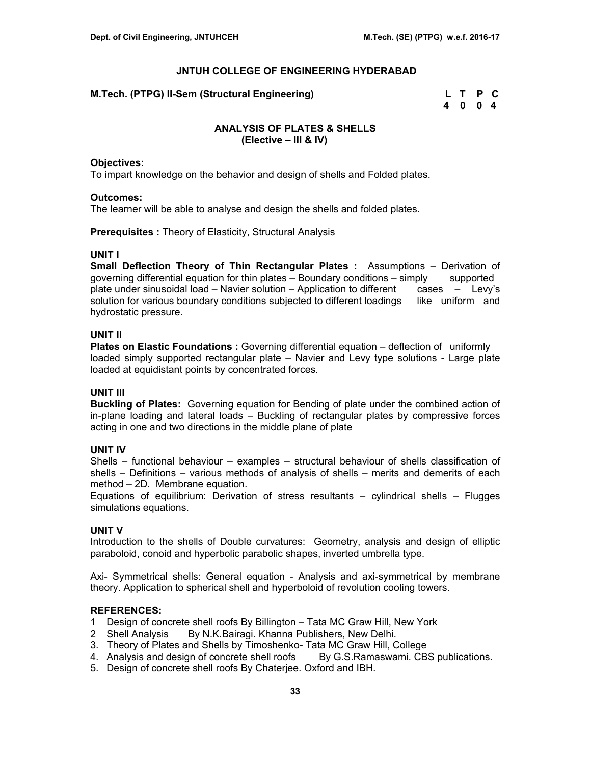**M.Tech. (PTPG) II-Sem (Structural Engineering)** 

| l.Tech. (PTPG) II-Sem (Structural Engineering) |      | L T P C |  |
|------------------------------------------------|------|---------|--|
|                                                | 4004 |         |  |

# **ANALYSIS OF PLATES & SHELLS (Elective – III & IV)**

#### **Objectives:**

To impart knowledge on the behavior and design of shells and Folded plates.

#### **Outcomes:**

The learner will be able to analyse and design the shells and folded plates.

**Prerequisites :** Theory of Elasticity, Structural Analysis

# **UNIT I**

**Small Deflection Theory of Thin Rectangular Plates :** Assumptions – Derivation of governing differential equation for thin plates – Boundary conditions – simply supported plate under sinusoidal load – Navier solution – Application to different cases – Levy's solution for various boundary conditions subjected to different loadings like uniform and hydrostatic pressure.

# **UNIT II**

**Plates on Elastic Foundations :** Governing differential equation – deflection of uniformly loaded simply supported rectangular plate – Navier and Levy type solutions - Large plate loaded at equidistant points by concentrated forces.

# **UNIT III**

**Buckling of Plates:** Governing equation for Bending of plate under the combined action of in-plane loading and lateral loads – Buckling of rectangular plates by compressive forces acting in one and two directions in the middle plane of plate

# **UNIT IV**

Shells – functional behaviour – examples – structural behaviour of shells classification of shells – Definitions – various methods of analysis of shells – merits and demerits of each method – 2D. Membrane equation.

Equations of equilibrium: Derivation of stress resultants  $-$  cylindrical shells  $-$  Flugges simulations equations.

# **UNIT V**

Introduction to the shells of Double curvatures: Geometry, analysis and design of elliptic paraboloid, conoid and hyperbolic parabolic shapes, inverted umbrella type.

Axi- Symmetrical shells: General equation - Analysis and axi-symmetrical by membrane theory. Application to spherical shell and hyperboloid of revolution cooling towers.

#### **REFERENCES:**

- 1 Design of concrete shell roofs By Billington Tata MC Graw Hill, New York
- 2 Shell Analysis By N.K.Bairagi. Khanna Publishers, New Delhi.
- 3. Theory of Plates and Shells by Timoshenko- Tata MC Graw Hill, College
- 4. Analysis and design of concrete shell roofs By G.S.Ramaswami. CBS publications.
- 5. Design of concrete shell roofs By Chaterjee. Oxford and IBH.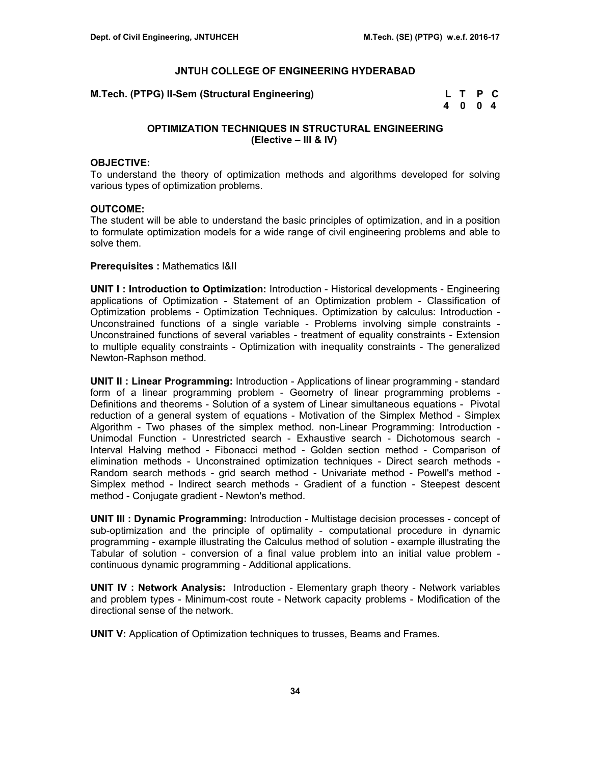**M.Tech. (PTPG) II-Sem (Structural Engineering)** 

| <b>I.Tech. (PTPG) II-Sem (Structural Engineering)</b> |      | L T P C |  |
|-------------------------------------------------------|------|---------|--|
|                                                       | 4004 |         |  |

# **OPTIMIZATION TECHNIQUES IN STRUCTURAL ENGINEERING (Elective – III & IV)**

#### **OBJECTIVE:**

To understand the theory of optimization methods and algorithms developed for solving various types of optimization problems.

#### **OUTCOME:**

The student will be able to understand the basic principles of optimization, and in a position to formulate optimization models for a wide range of civil engineering problems and able to solve them.

#### **Prerequisites :** Mathematics I&II

**UNIT I : Introduction to Optimization:** Introduction - Historical developments - Engineering applications of Optimization - Statement of an Optimization problem - Classification of Optimization problems - Optimization Techniques. Optimization by calculus: Introduction - Unconstrained functions of a single variable - Problems involving simple constraints - Unconstrained functions of several variables - treatment of equality constraints - Extension to multiple equality constraints - Optimization with inequality constraints - The generalized Newton-Raphson method.

**UNIT II : Linear Programming:** Introduction - Applications of linear programming - standard form of a linear programming problem - Geometry of linear programming problems - Definitions and theorems - Solution of a system of Linear simultaneous equations - Pivotal reduction of a general system of equations - Motivation of the Simplex Method - Simplex Algorithm - Two phases of the simplex method. non-Linear Programming: Introduction - Unimodal Function - Unrestricted search - Exhaustive search - Dichotomous search - Interval Halving method - Fibonacci method - Golden section method - Comparison of elimination methods - Unconstrained optimization techniques - Direct search methods - Random search methods - grid search method - Univariate method - Powell's method - Simplex method - Indirect search methods - Gradient of a function - Steepest descent method - Conjugate gradient - Newton's method.

**UNIT III : Dynamic Programming:** Introduction - Multistage decision processes - concept of sub-optimization and the principle of optimality - computational procedure in dynamic programming - example illustrating the Calculus method of solution - example illustrating the Tabular of solution - conversion of a final value problem into an initial value problem continuous dynamic programming - Additional applications.

**UNIT IV : Network Analysis:** Introduction - Elementary graph theory - Network variables and problem types - Minimum-cost route - Network capacity problems - Modification of the directional sense of the network.

**UNIT V:** Application of Optimization techniques to trusses, Beams and Frames.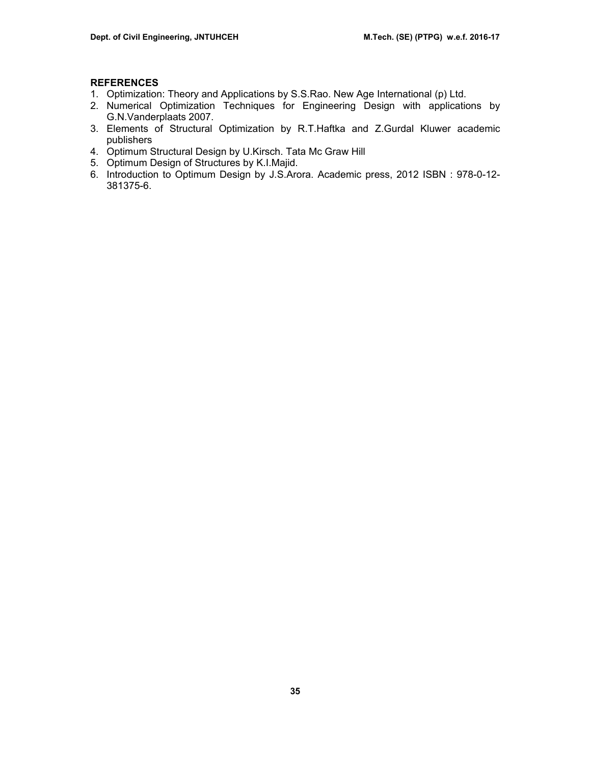# **REFERENCES**

- 1. Optimization: Theory and Applications by S.S.Rao. New Age International (p) Ltd.
- 2. Numerical Optimization Techniques for Engineering Design with applications by G.N.Vanderplaats 2007.
- 3. Elements of Structural Optimization by R.T.Haftka and Z.Gurdal Kluwer academic publishers
- 4. Optimum Structural Design by U.Kirsch. Tata Mc Graw Hill
- 5. Optimum Design of Structures by K.I.Majid.
- 6. Introduction to Optimum Design by J.S.Arora. Academic press, 2012 ISBN : 978-0-12- 381375-6.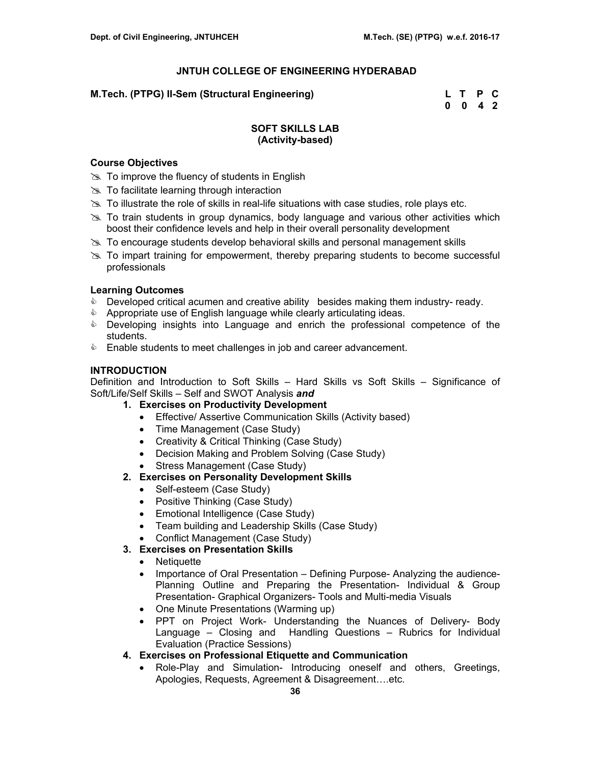# **M.Tech. (PTPG) II-Sem (Structural Engineering)**

| M.Tech. (PTPG) II-Sem (Structural Engineering) | L T P C                     |  |
|------------------------------------------------|-----------------------------|--|
|                                                | $0 \quad 0 \quad 4 \quad 2$ |  |

# **SOFT SKILLS LAB (Activity-based)**

# **Course Objectives**

- $\gg$  To improve the fluency of students in English
- $\gg$  To facilitate learning through interaction
- $\gg$  To illustrate the role of skills in real-life situations with case studies, role plays etc.
- $\geq$  To train students in group dynamics, body language and various other activities which boost their confidence levels and help in their overall personality development
- $\geq$  To encourage students develop behavioral skills and personal management skills
- $\gg$  To impart training for empowerment, thereby preparing students to become successful professionals

# **Learning Outcomes**

- **Developed critical acumen and creative ability besides making them industry- ready.**
- & Appropriate use of English language while clearly articulating ideas.
- **EXE** Developing insights into Language and enrich the professional competence of the students.
- **Enable students to meet challenges in job and career advancement.**

# **INTRODUCTION**

Definition and Introduction to Soft Skills – Hard Skills vs Soft Skills – Significance of Soft/Life/Self Skills – Self and SWOT Analysis *and*

- **1. Exercises on Productivity Development** 
	- Effective/ Assertive Communication Skills (Activity based)
	- Time Management (Case Study)
	- Creativity & Critical Thinking (Case Study)
	- Decision Making and Problem Solving (Case Study)
	- Stress Management (Case Study)

# **2. Exercises on Personality Development Skills**

- Self-esteem (Case Study)
- Positive Thinking (Case Study)
- Emotional Intelligence (Case Study)
- Team building and Leadership Skills (Case Study)
- Conflict Management (Case Study)
- **3. Exercises on Presentation Skills** 
	- Netiquette
	- Importance of Oral Presentation Defining Purpose- Analyzing the audience-Planning Outline and Preparing the Presentation- Individual & Group Presentation- Graphical Organizers- Tools and Multi-media Visuals
	- One Minute Presentations (Warming up)
	- PPT on Project Work- Understanding the Nuances of Delivery- Body Language – Closing and Handling Questions – Rubrics for Individual Evaluation (Practice Sessions)
- **4. Exercises on Professional Etiquette and Communication** 
	- Role-Play and Simulation- Introducing oneself and others, Greetings, Apologies, Requests, Agreement & Disagreement….etc.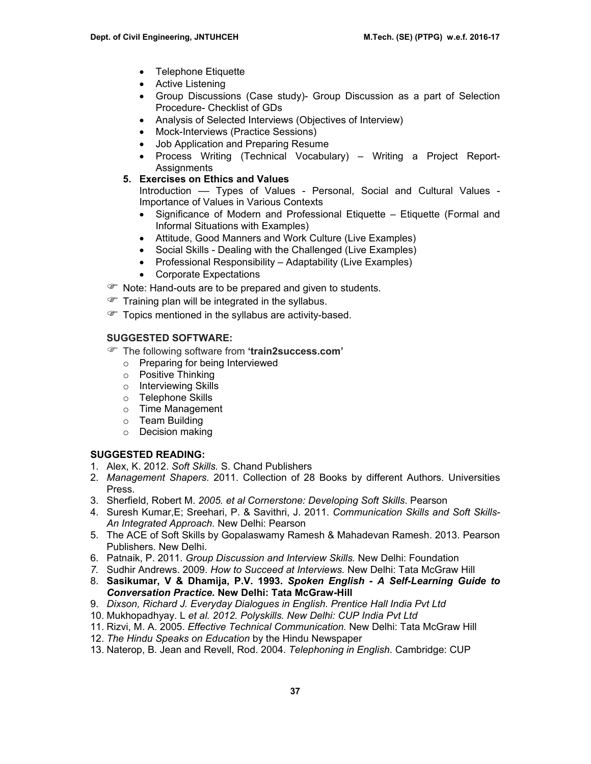- Telephone Etiquette
- Active Listening
- Group Discussions (Case study)- Group Discussion as a part of Selection Procedure- Checklist of GDs
- Analysis of Selected Interviews (Objectives of Interview)
- Mock-Interviews (Practice Sessions)
- Job Application and Preparing Resume
- Process Writing (Technical Vocabulary) Writing a Project Report-Assignments
- **5. Exercises on Ethics and Values**

Introduction –– Types of Values - Personal, Social and Cultural Values - Importance of Values in Various Contexts

- Significance of Modern and Professional Etiquette Etiquette (Formal and Informal Situations with Examples)
- Attitude, Good Manners and Work Culture (Live Examples)
- Social Skills Dealing with the Challenged (Live Examples)
- Professional Responsibility Adaptability (Live Examples)
- Corporate Expectations
- **P** Note: Hand-outs are to be prepared and given to students.
- $\mathcal{F}$  Training plan will be integrated in the syllabus.
- Topics mentioned in the syllabus are activity-based.

# **SUGGESTED SOFTWARE:**

- ) The following software from **'train2success.com'** 
	- o Preparing for being Interviewed
	- o Positive Thinking
	- o Interviewing Skills
	- o Telephone Skills
	- o Time Management
	- o Team Building
	- o Decision making

# **SUGGESTED READING:**

- 1. Alex, K. 2012. *Soft Skills.* S. Chand Publishers
- 2. *Management Shapers*. 2011. Collection of 28 Books by different Authors. Universities Press.
- 3. Sherfield, Robert M. *2005. et al Cornerstone: Developing Soft Skills*. Pearson
- 4. Suresh Kumar,E; Sreehari, P. & Savithri, J. 2011. *Communication Skills and Soft Skills-An Integrated Approach.* New Delhi: Pearson
- 5. The ACE of Soft Skills by Gopalaswamy Ramesh & Mahadevan Ramesh. 2013. Pearson Publishers. New Delhi.
- 6. Patnaik, P. 2011. *Group Discussion and Interview Skills.* New Delhi: Foundation
- *7.* Sudhir Andrews. 2009. *How to Succeed at Interviews.* New Delhi: Tata McGraw Hill
- 8. **Sasikumar, V & Dhamija, P.V. 1993.** *Spoken English A Self-Learning Guide to Conversation Practice.* **New Delhi: Tata McGraw-Hill**
- 9. *Dixson, Richard J. Everyday Dialogues in English. Prentice Hall India Pvt Ltd*
- 10. Mukhopadhyay. L *et al. 2012. Polyskills. New Delhi: CUP India Pvt Ltd*
- 11. Rizvi, M. A. 2005. *Effective Technical Communication.* New Delhi: Tata McGraw Hill
- 12. *The Hindu Speaks on Education* by the Hindu Newspaper
- 13. Naterop, B. Jean and Revell, Rod. 2004. *Telephoning in English*. Cambridge: CUP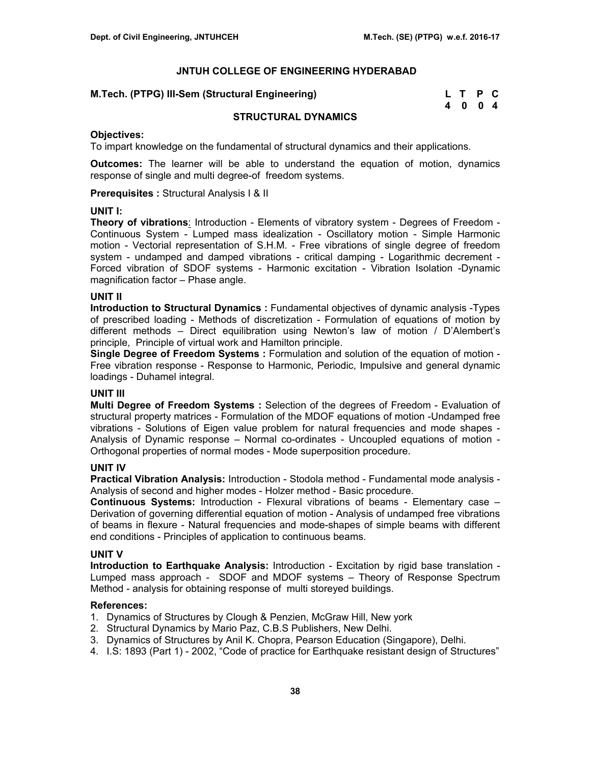|  |  |  | M.Tech. (PTPG) III-Sem (Structural Engineering) |  |  |  |  |  | L T P C |  |
|--|--|--|-------------------------------------------------|--|--|--|--|--|---------|--|
|--|--|--|-------------------------------------------------|--|--|--|--|--|---------|--|

| M.Tech. (PTPG) III-Sem (Structural Engineering) | L T P C |  |
|-------------------------------------------------|---------|--|
|                                                 | 4004    |  |

# **STRUCTURAL DYNAMICS**

#### **Objectives:**

To impart knowledge on the fundamental of structural dynamics and their applications.

**Outcomes:** The learner will be able to understand the equation of motion, dynamics response of single and multi degree-of freedom systems.

**Prerequisites :** Structural Analysis I & II

#### **UNIT I:**

**Theory of vibrations**: Introduction - Elements of vibratory system - Degrees of Freedom - Continuous System - Lumped mass idealization - Oscillatory motion - Simple Harmonic motion - Vectorial representation of S.H.M. - Free vibrations of single degree of freedom system - undamped and damped vibrations - critical damping - Logarithmic decrement - Forced vibration of SDOF systems - Harmonic excitation - Vibration Isolation -Dynamic magnification factor – Phase angle.

# **UNIT II**

**Introduction to Structural Dynamics :** Fundamental objectives of dynamic analysis -Types of prescribed loading - Methods of discretization - Formulation of equations of motion by different methods – Direct equilibration using Newton's law of motion / D'Alembert's principle, Principle of virtual work and Hamilton principle.

**Single Degree of Freedom Systems :** Formulation and solution of the equation of motion - Free vibration response - Response to Harmonic, Periodic, Impulsive and general dynamic loadings - Duhamel integral.

# **UNIT III**

**Multi Degree of Freedom Systems :** Selection of the degrees of Freedom - Evaluation of structural property matrices - Formulation of the MDOF equations of motion -Undamped free vibrations - Solutions of Eigen value problem for natural frequencies and mode shapes - Analysis of Dynamic response – Normal co-ordinates - Uncoupled equations of motion - Orthogonal properties of normal modes - Mode superposition procedure.

# **UNIT IV**

**Practical Vibration Analysis:** Introduction - Stodola method - Fundamental mode analysis - Analysis of second and higher modes - Holzer method - Basic procedure.

**Continuous Systems:** Introduction - Flexural vibrations of beams - Elementary case – Derivation of governing differential equation of motion - Analysis of undamped free vibrations of beams in flexure - Natural frequencies and mode-shapes of simple beams with different end conditions - Principles of application to continuous beams.

# **UNIT V**

**Introduction to Earthquake Analysis:** Introduction - Excitation by rigid base translation - Lumped mass approach - SDOF and MDOF systems – Theory of Response Spectrum Method - analysis for obtaining response of multi storeyed buildings.

# **References:**

- 1. Dynamics of Structures by Clough & Penzien, McGraw Hill, New york
- 2. Structural Dynamics by Mario Paz, C.B.S Publishers, New Delhi.
- 3. Dynamics of Structures by Anil K. Chopra, Pearson Education (Singapore), Delhi.
- 4. I.S: 1893 (Part 1) 2002, "Code of practice for Earthquake resistant design of Structures"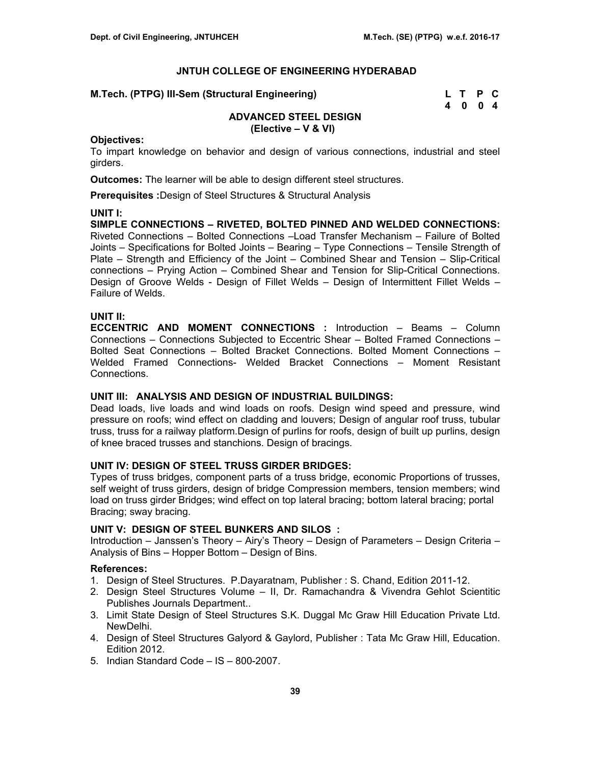| M.Tech. (PTPG) III-Sem (Structural Engineering) | L T P C |  |
|-------------------------------------------------|---------|--|
|                                                 | 4 0 0 4 |  |

# **ADVANCED STEEL DESIGN (Elective – V & VI)**

#### **Objectives:**

To impart knowledge on behavior and design of various connections, industrial and steel girders.

**Outcomes:** The learner will be able to design different steel structures.

**Prerequisites :**Design of Steel Structures & Structural Analysis

# **UNIT I:**

**SIMPLE CONNECTIONS – RIVETED, BOLTED PINNED AND WELDED CONNECTIONS:** Riveted Connections – Bolted Connections –Load Transfer Mechanism – Failure of Bolted Joints – Specifications for Bolted Joints – Bearing – Type Connections – Tensile Strength of Plate – Strength and Efficiency of the Joint – Combined Shear and Tension – Slip-Critical connections – Prying Action – Combined Shear and Tension for Slip-Critical Connections. Design of Groove Welds - Design of Fillet Welds – Design of Intermittent Fillet Welds – Failure of Welds.

# **UNIT II:**

**ECCENTRIC AND MOMENT CONNECTIONS :** Introduction – Beams – Column Connections – Connections Subjected to Eccentric Shear – Bolted Framed Connections – Bolted Seat Connections – Bolted Bracket Connections. Bolted Moment Connections – Welded Framed Connections- Welded Bracket Connections – Moment Resistant Connections.

# **UNIT III: ANALYSIS AND DESIGN OF INDUSTRIAL BUILDINGS:**

Dead loads, live loads and wind loads on roofs. Design wind speed and pressure, wind pressure on roofs; wind effect on cladding and louvers; Design of angular roof truss, tubular truss, truss for a railway platform.Design of purlins for roofs, design of built up purlins, design of knee braced trusses and stanchions. Design of bracings.

# **UNIT IV: DESIGN OF STEEL TRUSS GIRDER BRIDGES:**

Types of truss bridges, component parts of a truss bridge, economic Proportions of trusses, self weight of truss girders, design of bridge Compression members, tension members; wind load on truss girder Bridges; wind effect on top lateral bracing; bottom lateral bracing; portal Bracing; sway bracing.

#### **UNIT V: DESIGN OF STEEL BUNKERS AND SILOS :**

Introduction – Janssen's Theory – Airy's Theory – Design of Parameters – Design Criteria – Analysis of Bins – Hopper Bottom – Design of Bins.

# **References:**

- 1. Design of Steel Structures. P.Dayaratnam, Publisher : S. Chand, Edition 2011-12.
- 2. Design Steel Structures Volume II, Dr. Ramachandra & Vivendra Gehlot Scientitic Publishes Journals Department..
- 3. Limit State Design of Steel Structures S.K. Duggal Mc Graw Hill Education Private Ltd. NewDelhi.
- 4. Design of Steel Structures Galyord & Gaylord, Publisher : Tata Mc Graw Hill, Education. Edition 2012.
- 5. Indian Standard Code IS 800-2007.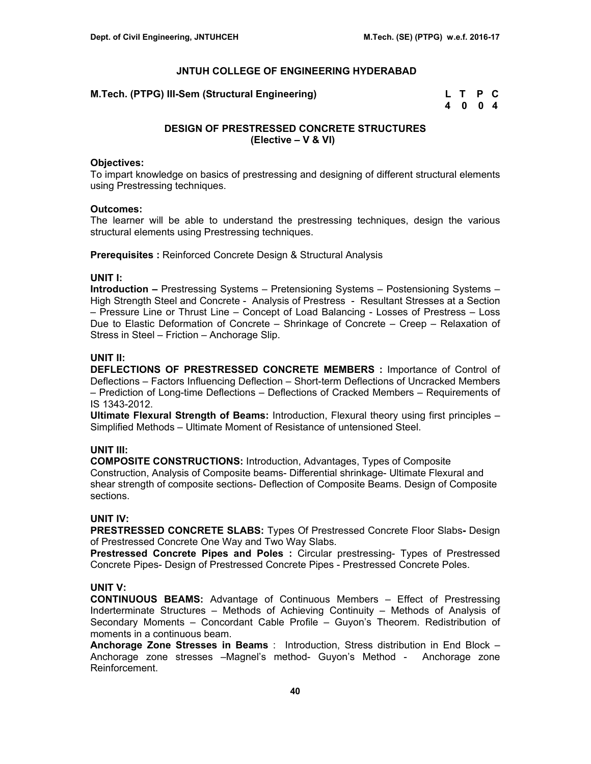**M.Tech. (PTPG) III-Sem (Structural Engineering)** 

| M.Tech. (PTPG) III-Sem (Structural Engineering) | L T P C |  |
|-------------------------------------------------|---------|--|
|                                                 | 4 0 0 4 |  |

# **DESIGN OF PRESTRESSED CONCRETE STRUCTURES (Elective – V & VI)**

#### **Objectives:**

To impart knowledge on basics of prestressing and designing of different structural elements using Prestressing techniques.

#### **Outcomes:**

The learner will be able to understand the prestressing techniques, design the various structural elements using Prestressing techniques.

**Prerequisites : Reinforced Concrete Design & Structural Analysis** 

## **UNIT I:**

**Introduction –** Prestressing Systems – Pretensioning Systems – Postensioning Systems – High Strength Steel and Concrete - Analysis of Prestress - Resultant Stresses at a Section – Pressure Line or Thrust Line – Concept of Load Balancing - Losses of Prestress – Loss Due to Elastic Deformation of Concrete – Shrinkage of Concrete – Creep – Relaxation of Stress in Steel – Friction – Anchorage Slip.

### **UNIT II:**

**DEFLECTIONS OF PRESTRESSED CONCRETE MEMBERS :** Importance of Control of Deflections – Factors Influencing Deflection – Short-term Deflections of Uncracked Members – Prediction of Long-time Deflections – Deflections of Cracked Members – Requirements of IS 1343-2012.

**Ultimate Flexural Strength of Beams:** Introduction, Flexural theory using first principles – Simplified Methods – Ultimate Moment of Resistance of untensioned Steel.

## **UNIT III:**

**COMPOSITE CONSTRUCTIONS:** Introduction, Advantages, Types of Composite Construction, Analysis of Composite beams- Differential shrinkage- Ultimate Flexural and shear strength of composite sections- Deflection of Composite Beams. Design of Composite sections.

#### **UNIT IV:**

**PRESTRESSED CONCRETE SLABS:** Types Of Prestressed Concrete Floor Slabs**-** Design of Prestressed Concrete One Way and Two Way Slabs.

**Prestressed Concrete Pipes and Poles :** Circular prestressing- Types of Prestressed Concrete Pipes- Design of Prestressed Concrete Pipes - Prestressed Concrete Poles.

#### **UNIT V:**

**CONTINUOUS BEAMS:** Advantage of Continuous Members – Effect of Prestressing Inderterminate Structures – Methods of Achieving Continuity – Methods of Analysis of Secondary Moments – Concordant Cable Profile – Guyon's Theorem. Redistribution of moments in a continuous beam.

**Anchorage Zone Stresses in Beams** : Introduction, Stress distribution in End Block – Anchorage zone stresses –Magnel's method- Guyon's Method - Anchorage zone Reinforcement.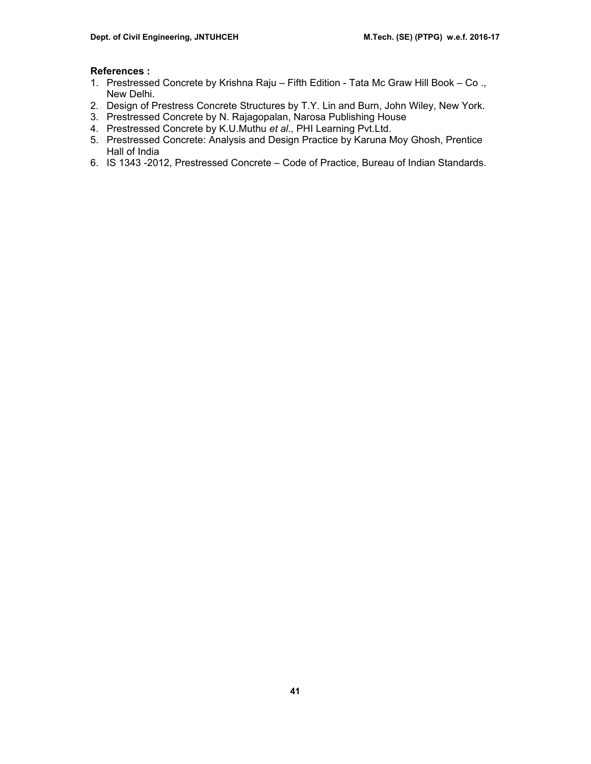#### **References :**

- 1. Prestressed Concrete by Krishna Raju Fifth Edition Tata Mc Graw Hill Book Co ., New Delhi.
- 2. Design of Prestress Concrete Structures by T.Y. Lin and Burn, John Wiley, New York.
- 3. Prestressed Concrete by N. Rajagopalan, Narosa Publishing House
- 4. Prestressed Concrete by K.U.Muthu *et al.,* PHI Learning Pvt.Ltd.
- 5. Prestressed Concrete: Analysis and Design Practice by Karuna Moy Ghosh, Prentice Hall of India
- 6. IS 1343 -2012, Prestressed Concrete Code of Practice, Bureau of Indian Standards.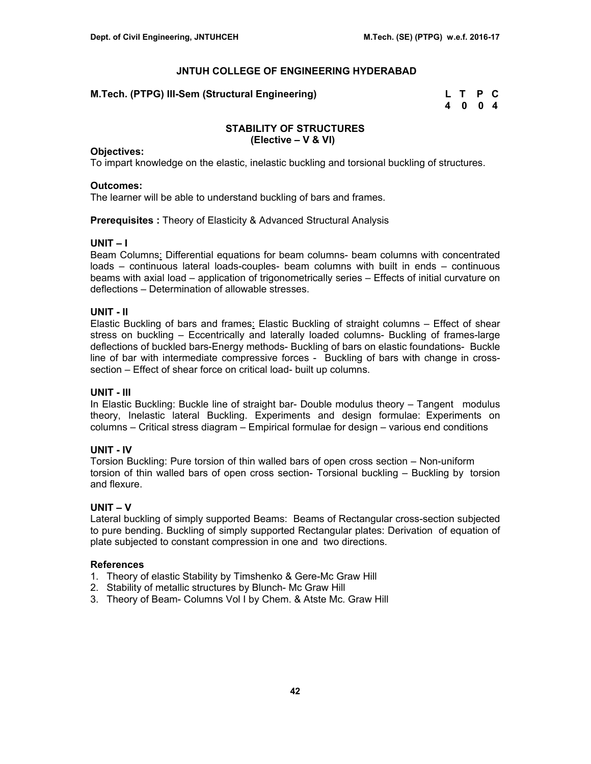## **M.Tech. (PTPG) III-Sem (Structural Engineering)**

| M.Tech. (PTPG) III-Sem (Structural Engineering) | L T P C |  |
|-------------------------------------------------|---------|--|
|                                                 | 4 0 0 4 |  |

#### **STABILITY OF STRUCTURES (Elective – V & VI)**

#### **Objectives:**

To impart knowledge on the elastic, inelastic buckling and torsional buckling of structures.

#### **Outcomes:**

The learner will be able to understand buckling of bars and frames.

**Prerequisites :** Theory of Elasticity & Advanced Structural Analysis

#### **UNIT – I**

Beam Columns: Differential equations for beam columns- beam columns with concentrated loads – continuous lateral loads-couples- beam columns with built in ends – continuous beams with axial load – application of trigonometrically series – Effects of initial curvature on deflections – Determination of allowable stresses.

#### **UNIT - II**

Elastic Buckling of bars and frames: Elastic Buckling of straight columns – Effect of shear stress on buckling – Eccentrically and laterally loaded columns- Buckling of frames-large deflections of buckled bars-Energy methods- Buckling of bars on elastic foundations- Buckle line of bar with intermediate compressive forces - Buckling of bars with change in crosssection – Effect of shear force on critical load- built up columns.

## **UNIT - III**

In Elastic Buckling: Buckle line of straight bar- Double modulus theory – Tangent modulus theory, Inelastic lateral Buckling. Experiments and design formulae: Experiments on columns – Critical stress diagram – Empirical formulae for design – various end conditions

#### **UNIT - IV**

Torsion Buckling: Pure torsion of thin walled bars of open cross section – Non-uniform torsion of thin walled bars of open cross section- Torsional buckling – Buckling by torsion and flexure.

#### **UNIT – V**

Lateral buckling of simply supported Beams: Beams of Rectangular cross-section subjected to pure bending. Buckling of simply supported Rectangular plates: Derivation of equation of plate subjected to constant compression in one and two directions.

#### **References**

- 1. Theory of elastic Stability by Timshenko & Gere-Mc Graw Hill
- 2. Stability of metallic structures by Blunch- Mc Graw Hill
- 3. Theory of Beam- Columns Vol I by Chem. & Atste Mc. Graw Hill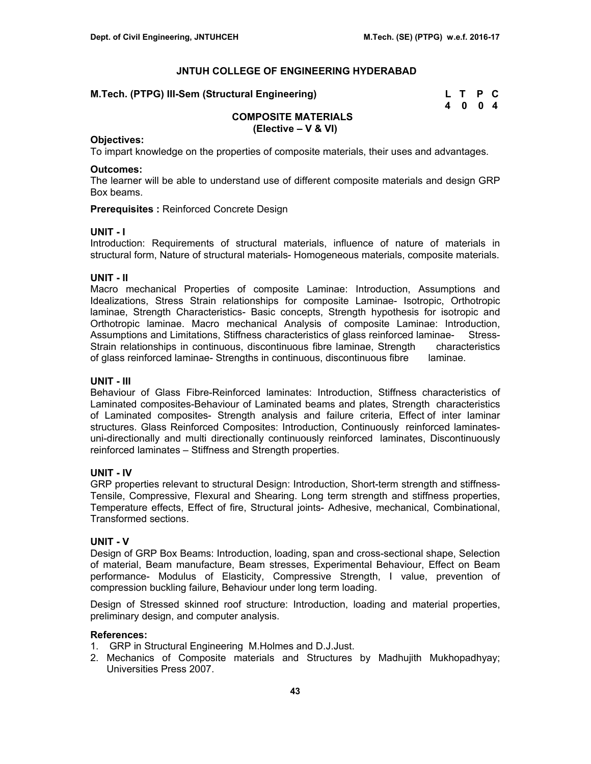| M.Tech. (PTPG) III-Sem (Structural Engineering) | L T P C |  |
|-------------------------------------------------|---------|--|
|                                                 | 4004    |  |

# **COMPOSITE MATERIALS (Elective – V & VI)**

#### **Objectives:**

To impart knowledge on the properties of composite materials, their uses and advantages.

#### **Outcomes:**

The learner will be able to understand use of different composite materials and design GRP Box beams.

**Prerequisites :** Reinforced Concrete Design

#### **UNIT - I**

Introduction: Requirements of structural materials, influence of nature of materials in structural form, Nature of structural materials- Homogeneous materials, composite materials.

# **UNIT - II**

Macro mechanical Properties of composite Laminae: Introduction, Assumptions and Idealizations, Stress Strain relationships for composite Laminae- Isotropic, Orthotropic laminae, Strength Characteristics- Basic concepts, Strength hypothesis for isotropic and Orthotropic laminae. Macro mechanical Analysis of composite Laminae: Introduction, Assumptions and Limitations, Stiffness characteristics of glass reinforced laminae- Stress-Strain relationships in continuous, discontinuous fibre laminae, Strength characteristics of glass reinforced laminae- Strengths in continuous, discontinuous fibre laminae.

## **UNIT - III**

Behaviour of Glass Fibre-Reinforced laminates: Introduction, Stiffness characteristics of Laminated composites-Behaviour of Laminated beams and plates, Strength characteristics of Laminated composites- Strength analysis and failure criteria, Effect of inter laminar structures. Glass Reinforced Composites: Introduction, Continuously reinforced laminatesuni-directionally and multi directionally continuously reinforced laminates, Discontinuously reinforced laminates – Stiffness and Strength properties.

# **UNIT - IV**

GRP properties relevant to structural Design: Introduction, Short-term strength and stiffness-Tensile, Compressive, Flexural and Shearing. Long term strength and stiffness properties, Temperature effects, Effect of fire, Structural joints- Adhesive, mechanical, Combinational, Transformed sections.

# **UNIT - V**

Design of GRP Box Beams: Introduction, loading, span and cross-sectional shape, Selection of material, Beam manufacture, Beam stresses, Experimental Behaviour, Effect on Beam performance- Modulus of Elasticity, Compressive Strength, I value, prevention of compression buckling failure, Behaviour under long term loading.

Design of Stressed skinned roof structure: Introduction, loading and material properties, preliminary design, and computer analysis.

#### **References:**

- 1. GRP in Structural Engineering M.Holmes and D.J.Just.
- 2. Mechanics of Composite materials and Structures by Madhujith Mukhopadhyay; Universities Press 2007.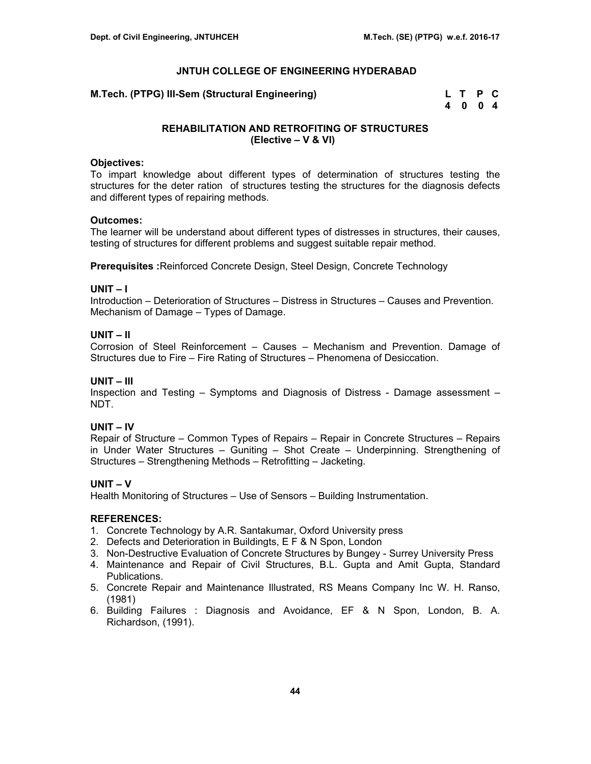**M.Tech. (PTPG) III-Sem (Structural Engineering)** 

| M.Tech. (PTPG) III-Sem (Structural Engineering) | L T P C |  |
|-------------------------------------------------|---------|--|
|                                                 | 4004    |  |

# **REHABILITATION AND RETROFITING OF STRUCTURES (Elective – V & VI)**

#### **Objectives:**

To impart knowledge about different types of determination of structures testing the structures for the deter ration of structures testing the structures for the diagnosis defects and different types of repairing methods.

#### **Outcomes:**

The learner will be understand about different types of distresses in structures, their causes, testing of structures for different problems and suggest suitable repair method.

**Prerequisites :**Reinforced Concrete Design, Steel Design, Concrete Technology

#### **UNIT – I**

Introduction – Deterioration of Structures – Distress in Structures – Causes and Prevention. Mechanism of Damage – Types of Damage.

# **UNIT – II**

Corrosion of Steel Reinforcement – Causes – Mechanism and Prevention. Damage of Structures due to Fire – Fire Rating of Structures – Phenomena of Desiccation.

#### **UNIT – III**

Inspection and Testing – Symptoms and Diagnosis of Distress - Damage assessment – NDT.

# **UNIT – IV**

Repair of Structure – Common Types of Repairs – Repair in Concrete Structures – Repairs in Under Water Structures – Guniting – Shot Create – Underpinning. Strengthening of Structures – Strengthening Methods – Retrofitting – Jacketing.

# **UNIT – V**

Health Monitoring of Structures – Use of Sensors – Building Instrumentation.

#### **REFERENCES:**

- 1. Concrete Technology by A.R. Santakumar, Oxford University press
- 2. Defects and Deterioration in Buildingts, E F & N Spon, London
- 3. Non-Destructive Evaluation of Concrete Structures by Bungey Surrey University Press
- 4. Maintenance and Repair of Civil Structures, B.L. Gupta and Amit Gupta, Standard Publications.
- 5. Concrete Repair and Maintenance Illustrated, RS Means Company Inc W. H. Ranso, (1981)
- 6. Building Failures : Diagnosis and Avoidance, EF & N Spon, London, B. A. Richardson, (1991).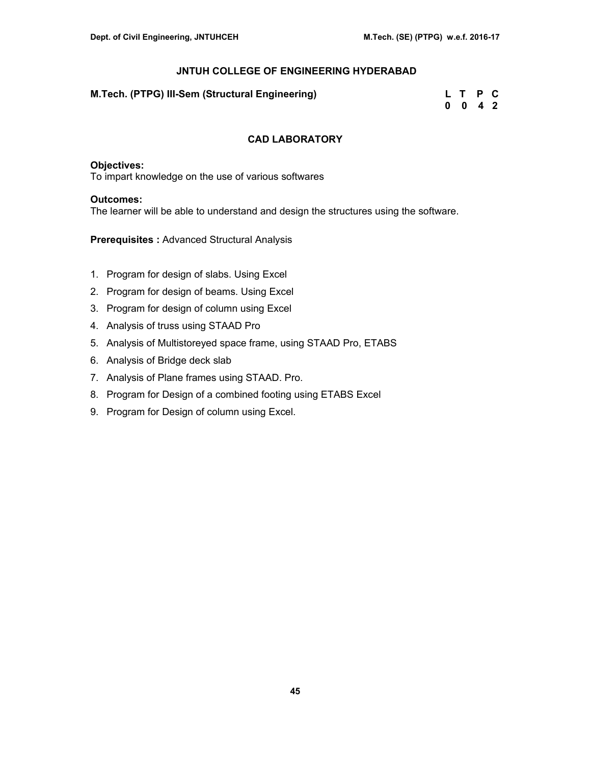| M.Tech. (PTPG) III-Sem (Structural Engineering) | L T P C            |  |
|-------------------------------------------------|--------------------|--|
|                                                 | $0 \t 0 \t 4 \t 2$ |  |

# **CAD LABORATORY**

# **Objectives:**

To impart knowledge on the use of various softwares

#### **Outcomes:**

The learner will be able to understand and design the structures using the software.

**Prerequisites :** Advanced Structural Analysis

- 1. Program for design of slabs. Using Excel
- 2. Program for design of beams. Using Excel
- 3. Program for design of column using Excel
- 4. Analysis of truss using STAAD Pro
- 5. Analysis of Multistoreyed space frame, using STAAD Pro, ETABS
- 6. Analysis of Bridge deck slab
- 7. Analysis of Plane frames using STAAD. Pro.
- 8. Program for Design of a combined footing using ETABS Excel
- 9. Program for Design of column using Excel.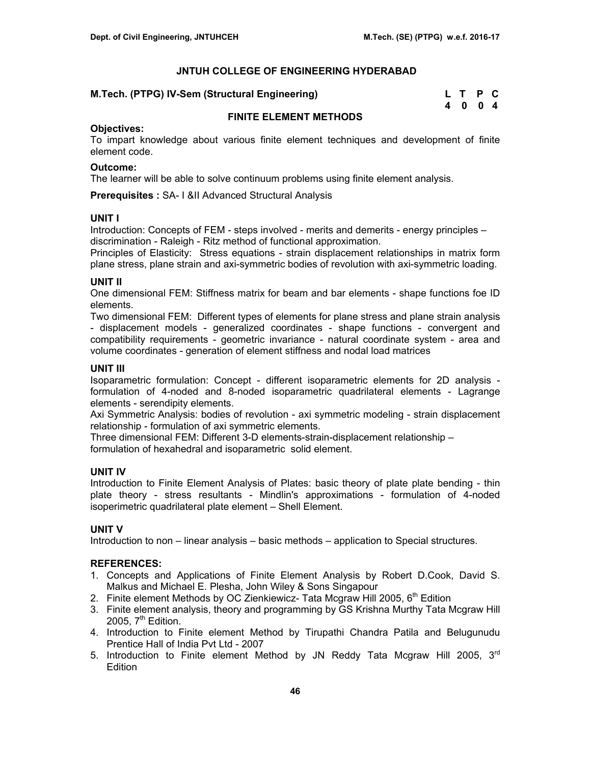|  |  |  |  | M.Tech. (PTPG) IV-Sem (Structural Engineering) |  |  |  | L T P C |  |
|--|--|--|--|------------------------------------------------|--|--|--|---------|--|
|--|--|--|--|------------------------------------------------|--|--|--|---------|--|

| M.Tech. (PTPG) IV-Sem (Structural Engineering) | L T P C |  |
|------------------------------------------------|---------|--|
|                                                | 4004    |  |

# **FINITE ELEMENT METHODS**

# **Objectives:**

To impart knowledge about various finite element techniques and development of finite element code.

## **Outcome:**

The learner will be able to solve continuum problems using finite element analysis.

**Prerequisites :** SA- I &II Advanced Structural Analysis

# **UNIT I**

Introduction: Concepts of FEM - steps involved - merits and demerits - energy principles – discrimination - Raleigh - Ritz method of functional approximation.

Principles of Elasticity: Stress equations - strain displacement relationships in matrix form plane stress, plane strain and axi-symmetric bodies of revolution with axi-symmetric loading.

# **UNIT II**

One dimensional FEM: Stiffness matrix for beam and bar elements - shape functions foe ID elements.

Two dimensional FEM: Different types of elements for plane stress and plane strain analysis - displacement models - generalized coordinates - shape functions - convergent and compatibility requirements - geometric invariance - natural coordinate system - area and volume coordinates - generation of element stiffness and nodal load matrices

# **UNIT III**

Isoparametric formulation: Concept - different isoparametric elements for 2D analysis formulation of 4-noded and 8-noded isoparametric quadrilateral elements - Lagrange elements - serendipity elements.

Axi Symmetric Analysis: bodies of revolution - axi symmetric modeling - strain displacement relationship - formulation of axi symmetric elements.

Three dimensional FEM: Different 3-D elements-strain-displacement relationship –

formulation of hexahedral and isoparametric solid element.

# **UNIT IV**

Introduction to Finite Element Analysis of Plates: basic theory of plate plate bending - thin plate theory - stress resultants - Mindlin's approximations - formulation of 4-noded isoperimetric quadrilateral plate element – Shell Element.

# **UNIT V**

Introduction to non – linear analysis – basic methods – application to Special structures.

# **REFERENCES:**

- 1. Concepts and Applications of Finite Element Analysis by Robert D.Cook, David S. Malkus and Michael E. Plesha, John Wiley & Sons Singapour
- 2. Finite element Methods by OC Zienkiewicz- Tata Mcgraw Hill 2005, 6<sup>th</sup> Edition
- 3. Finite element analysis, theory and programming by GS Krishna Murthy Tata Mcgraw Hill 2005,  $7<sup>th</sup>$  Edition.
- 4. Introduction to Finite element Method by Tirupathi Chandra Patila and Belugunudu Prentice Hall of India Pvt Ltd - 2007
- 5. Introduction to Finite element Method by JN Reddy Tata Mcgraw Hill 2005,  $3<sup>rd</sup>$ **Edition**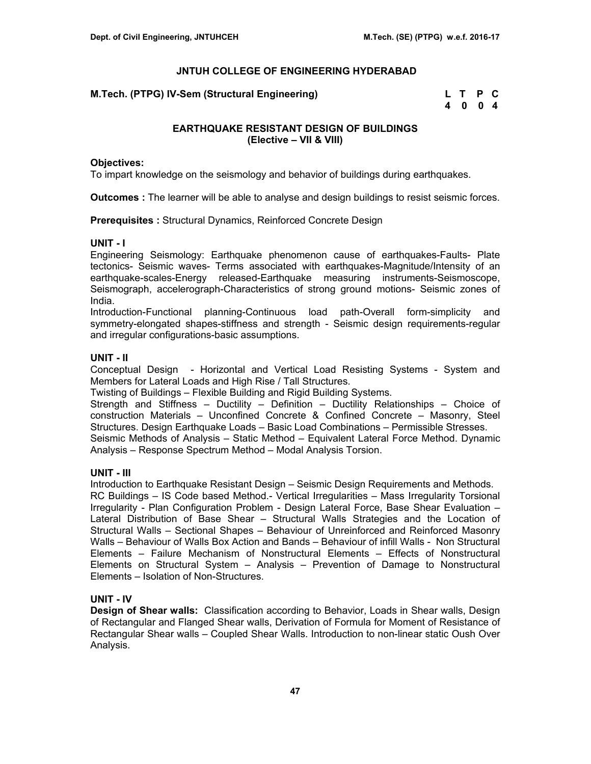**M.Tech. (PTPG) IV-Sem (Structural Engineering)** 

| M.Tech. (PTPG) IV-Sem (Structural Engineering) | L T P C |  |
|------------------------------------------------|---------|--|
|                                                | 4 0 0 4 |  |

# **EARTHQUAKE RESISTANT DESIGN OF BUILDINGS (Elective – VII & VIII)**

#### **Objectives:**

To impart knowledge on the seismology and behavior of buildings during earthquakes.

**Outcomes :** The learner will be able to analyse and design buildings to resist seismic forces.

**Prerequisites :** Structural Dynamics, Reinforced Concrete Design

#### **UNIT - I**

Engineering Seismology: Earthquake phenomenon cause of earthquakes-Faults- Plate tectonics- Seismic waves- Terms associated with earthquakes-Magnitude/Intensity of an earthquake-scales-Energy released-Earthquake measuring instruments-Seismoscope, Seismograph, accelerograph-Characteristics of strong ground motions- Seismic zones of India.

Introduction-Functional planning-Continuous load path-Overall form-simplicity and symmetry-elongated shapes-stiffness and strength - Seismic design requirements-regular and irregular configurations-basic assumptions.

#### **UNIT - II**

Conceptual Design - Horizontal and Vertical Load Resisting Systems - System and Members for Lateral Loads and High Rise / Tall Structures.

Twisting of Buildings – Flexible Building and Rigid Building Systems.

Strength and Stiffness – Ductility – Definition – Ductility Relationships – Choice of construction Materials – Unconfined Concrete & Confined Concrete – Masonry, Steel Structures. Design Earthquake Loads – Basic Load Combinations – Permissible Stresses. Seismic Methods of Analysis – Static Method – Equivalent Lateral Force Method. Dynamic Analysis – Response Spectrum Method – Modal Analysis Torsion.

#### **UNIT - III**

Introduction to Earthquake Resistant Design – Seismic Design Requirements and Methods. RC Buildings – IS Code based Method.- Vertical Irregularities – Mass Irregularity Torsional Irregularity - Plan Configuration Problem - Design Lateral Force, Base Shear Evaluation – Lateral Distribution of Base Shear – Structural Walls Strategies and the Location of Structural Walls – Sectional Shapes – Behaviour of Unreinforced and Reinforced Masonry Walls – Behaviour of Walls Box Action and Bands – Behaviour of infill Walls - Non Structural Elements – Failure Mechanism of Nonstructural Elements – Effects of Nonstructural Elements on Structural System – Analysis – Prevention of Damage to Nonstructural Elements – Isolation of Non-Structures.

# **UNIT - IV**

**Design of Shear walls:** Classification according to Behavior, Loads in Shear walls, Design of Rectangular and Flanged Shear walls, Derivation of Formula for Moment of Resistance of Rectangular Shear walls – Coupled Shear Walls. Introduction to non-linear static Oush Over Analysis.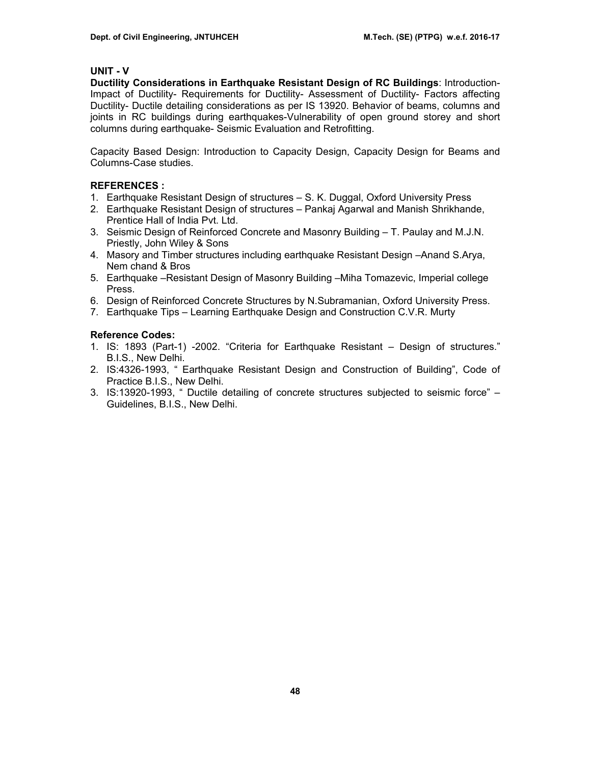# **UNIT - V**

**Ductility Considerations in Earthquake Resistant Design of RC Buildings**: Introduction-Impact of Ductility- Requirements for Ductility- Assessment of Ductility- Factors affecting Ductility- Ductile detailing considerations as per IS 13920. Behavior of beams, columns and joints in RC buildings during earthquakes-Vulnerability of open ground storey and short columns during earthquake- Seismic Evaluation and Retrofitting.

Capacity Based Design: Introduction to Capacity Design, Capacity Design for Beams and Columns-Case studies.

# **REFERENCES :**

- 1. Earthquake Resistant Design of structures S. K. Duggal, Oxford University Press
- 2. Earthquake Resistant Design of structures Pankaj Agarwal and Manish Shrikhande, Prentice Hall of India Pvt. Ltd.
- 3. Seismic Design of Reinforced Concrete and Masonry Building T. Paulay and M.J.N. Priestly, John Wiley & Sons
- 4. Masory and Timber structures including earthquake Resistant Design –Anand S.Arya, Nem chand & Bros
- 5. Earthquake –Resistant Design of Masonry Building –Miha Tomazevic, Imperial college Press.
- 6. Design of Reinforced Concrete Structures by N.Subramanian, Oxford University Press.
- 7. Earthquake Tips Learning Earthquake Design and Construction C.V.R. Murty

# **Reference Codes:**

- 1. IS: 1893 (Part-1) -2002. "Criteria for Earthquake Resistant Design of structures." B.I.S., New Delhi.
- 2. IS:4326-1993, " Earthquake Resistant Design and Construction of Building", Code of Practice B.I.S., New Delhi.
- 3. IS:13920-1993, " Ductile detailing of concrete structures subjected to seismic force" Guidelines, B.I.S., New Delhi.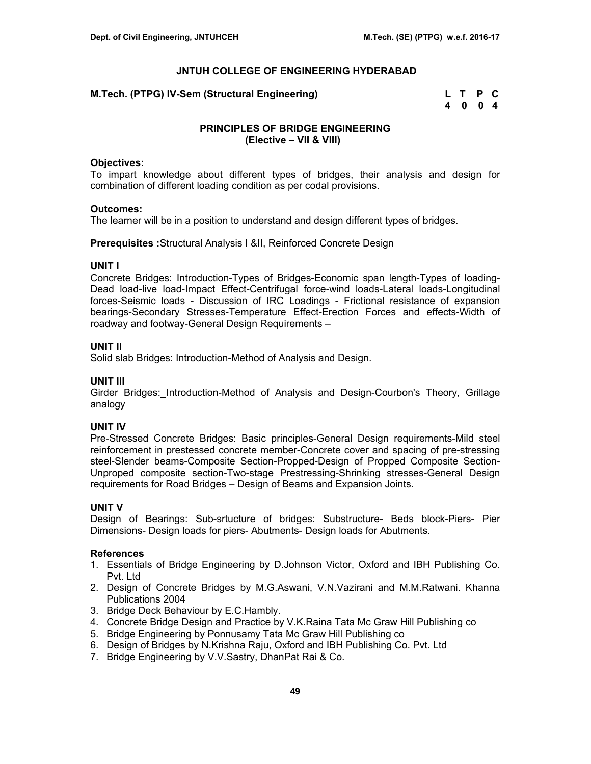**M.Tech. (PTPG) IV-Sem (Structural Engineering)** 

| M.Tech. (PTPG) IV-Sem (Structural Engineering) | L T P C |  |
|------------------------------------------------|---------|--|
|                                                | 4 0 0 4 |  |

# **PRINCIPLES OF BRIDGE ENGINEERING (Elective – VII & VIII)**

#### **Objectives:**

To impart knowledge about different types of bridges, their analysis and design for combination of different loading condition as per codal provisions.

#### **Outcomes:**

The learner will be in a position to understand and design different types of bridges.

**Prerequisites :**Structural Analysis I &II, Reinforced Concrete Design

#### **UNIT I**

Concrete Bridges: Introduction-Types of Bridges-Economic span length-Types of loading-Dead load-live load-Impact Effect-Centrifugal force-wind loads-Lateral loads-Longitudinal forces-Seismic loads - Discussion of IRC Loadings - Frictional resistance of expansion bearings-Secondary Stresses-Temperature Effect-Erection Forces and effects-Width of roadway and footway-General Design Requirements –

#### **UNIT II**

Solid slab Bridges: Introduction-Method of Analysis and Design.

#### **UNIT III**

Girder Bridges: Introduction-Method of Analysis and Design-Courbon's Theory, Grillage analogy

#### **UNIT IV**

Pre-Stressed Concrete Bridges: Basic principles-General Design requirements-Mild steel reinforcement in prestessed concrete member-Concrete cover and spacing of pre-stressing steel-Slender beams-Composite Section-Propped-Design of Propped Composite Section-Unproped composite section-Two-stage Prestressing-Shrinking stresses-General Design requirements for Road Bridges – Design of Beams and Expansion Joints.

#### **UNIT V**

Design of Bearings: Sub-srtucture of bridges: Substructure- Beds block-Piers- Pier Dimensions- Design loads for piers- Abutments- Design loads for Abutments.

# **References**

- 1. Essentials of Bridge Engineering by D.Johnson Victor, Oxford and IBH Publishing Co. Pvt. Ltd
- 2. Design of Concrete Bridges by M.G.Aswani, V.N.Vazirani and M.M.Ratwani. Khanna Publications 2004
- 3. Bridge Deck Behaviour by E.C.Hambly.
- 4. Concrete Bridge Design and Practice by V.K.Raina Tata Mc Graw Hill Publishing co
- 5. Bridge Engineering by Ponnusamy Tata Mc Graw Hill Publishing co
- 6. Design of Bridges by N.Krishna Raju, Oxford and IBH Publishing Co. Pvt. Ltd
- 7. Bridge Engineering by V.V.Sastry, DhanPat Rai & Co.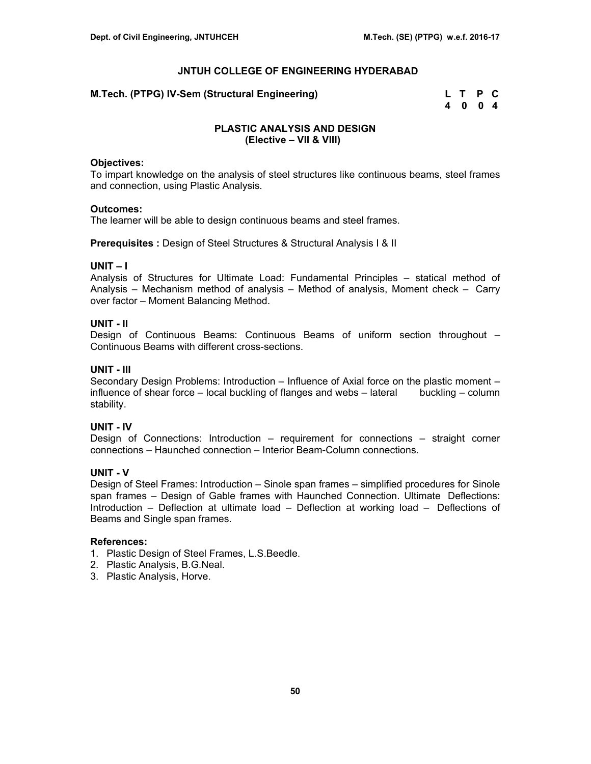**M.Tech. (PTPG) IV-Sem (Structural Engineering)** 

| M.Tech. (PTPG) IV-Sem (Structural Engineering)_ | L T P C |  |
|-------------------------------------------------|---------|--|
|                                                 | 4 0 0 4 |  |

# **PLASTIC ANALYSIS AND DESIGN (Elective – VII & VIII)**

#### **Objectives:**

To impart knowledge on the analysis of steel structures like continuous beams, steel frames and connection, using Plastic Analysis.

#### **Outcomes:**

The learner will be able to design continuous beams and steel frames.

**Prerequisites :** Design of Steel Structures & Structural Analysis I & II

# **UNIT – I**

Analysis of Structures for Ultimate Load: Fundamental Principles – statical method of Analysis – Mechanism method of analysis – Method of analysis, Moment check – Carry over factor – Moment Balancing Method.

#### **UNIT - II**

Design of Continuous Beams: Continuous Beams of uniform section throughout – Continuous Beams with different cross-sections.

## **UNIT - III**

Secondary Design Problems: Introduction – Influence of Axial force on the plastic moment – influence of shear force – local buckling of flanges and webs – lateral buckling – column stability.

# **UNIT - IV**

Design of Connections: Introduction – requirement for connections – straight corner connections – Haunched connection – Interior Beam-Column connections.

# **UNIT - V**

Design of Steel Frames: Introduction – Sinole span frames – simplified procedures for Sinole span frames – Design of Gable frames with Haunched Connection. Ultimate Deflections: Introduction – Deflection at ultimate load – Deflection at working load – Deflections of Beams and Single span frames.

#### **References:**

- 1. Plastic Design of Steel Frames, L.S.Beedle.
- 2. Plastic Analysis, B.G.Neal.
- 3. Plastic Analysis, Horve.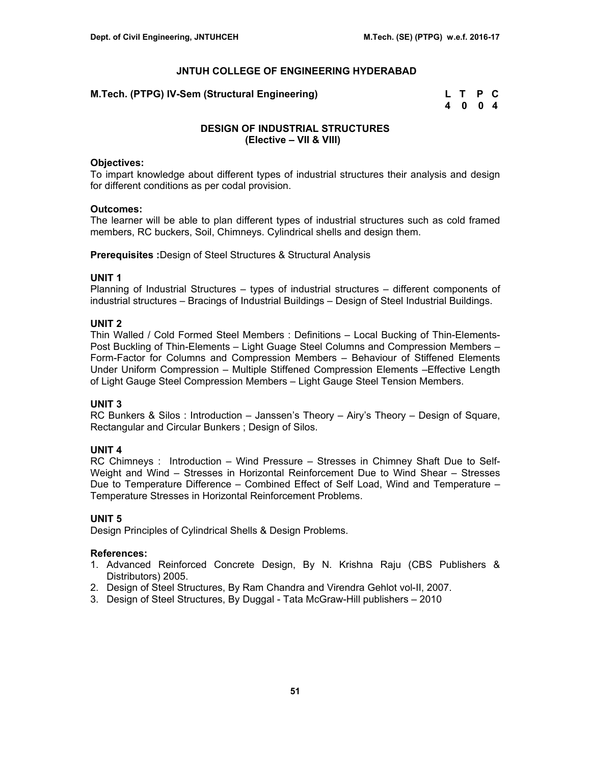**M.Tech. (PTPG) IV-Sem (Structural Engineering)** 

| M.Tech. (PTPG) IV-Sem (Structural Engineering) | L T P C |  |
|------------------------------------------------|---------|--|
|                                                | 4004    |  |

# **DESIGN OF INDUSTRIAL STRUCTURES (Elective – VII & VIII)**

#### **Objectives:**

To impart knowledge about different types of industrial structures their analysis and design for different conditions as per codal provision.

#### **Outcomes:**

The learner will be able to plan different types of industrial structures such as cold framed members, RC buckers, Soil, Chimneys. Cylindrical shells and design them.

**Prerequisites :**Design of Steel Structures & Structural Analysis

# **UNIT 1**

Planning of Industrial Structures – types of industrial structures – different components of industrial structures – Bracings of Industrial Buildings – Design of Steel Industrial Buildings.

#### **UNIT 2**

Thin Walled / Cold Formed Steel Members : Definitions – Local Bucking of Thin-Elements-Post Buckling of Thin-Elements – Light Guage Steel Columns and Compression Members – Form-Factor for Columns and Compression Members – Behaviour of Stiffened Elements Under Uniform Compression – Multiple Stiffened Compression Elements –Effective Length of Light Gauge Steel Compression Members – Light Gauge Steel Tension Members.

# **UNIT 3**

RC Bunkers & Silos : Introduction – Janssen's Theory – Airy's Theory – Design of Square, Rectangular and Circular Bunkers ; Design of Silos.

# **UNIT 4**

RC Chimneys : Introduction – Wind Pressure – Stresses in Chimney Shaft Due to Self-Weight and Wind – Stresses in Horizontal Reinforcement Due to Wind Shear – Stresses Due to Temperature Difference – Combined Effect of Self Load, Wind and Temperature – Temperature Stresses in Horizontal Reinforcement Problems.

# **UNIT 5**

Design Principles of Cylindrical Shells & Design Problems.

#### **References:**

- 1. Advanced Reinforced Concrete Design, By N. Krishna Raju (CBS Publishers & Distributors) 2005.
- 2. Design of Steel Structures, By Ram Chandra and Virendra Gehlot vol-II, 2007.
- 3. Design of Steel Structures, By Duggal Tata McGraw-Hill publishers 2010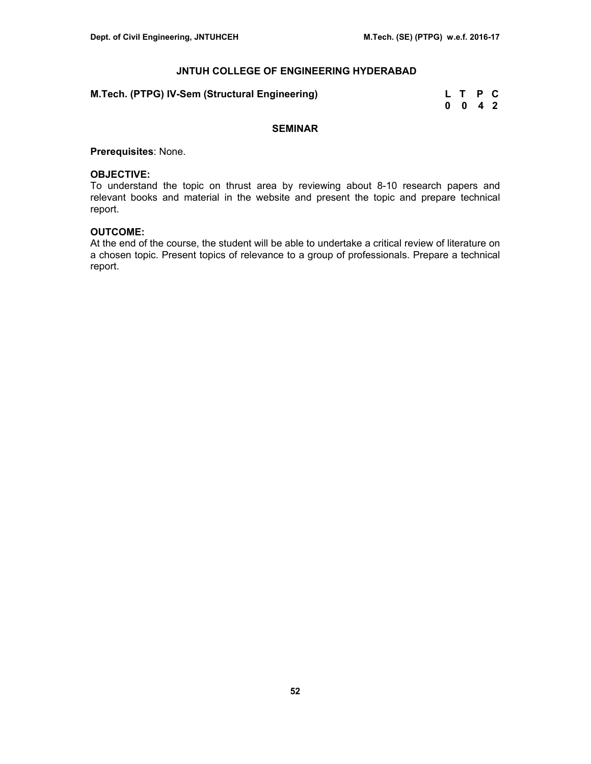| M.Tech. (PTPG) IV-Sem (Structural Engineering) | L T P C |  |
|------------------------------------------------|---------|--|
|                                                | 0 0 4 2 |  |

# **SEMINAR**

**Prerequisites**: None.

#### **OBJECTIVE:**

To understand the topic on thrust area by reviewing about 8-10 research papers and relevant books and material in the website and present the topic and prepare technical report.

## **OUTCOME:**

At the end of the course, the student will be able to undertake a critical review of literature on a chosen topic. Present topics of relevance to a group of professionals. Prepare a technical report.